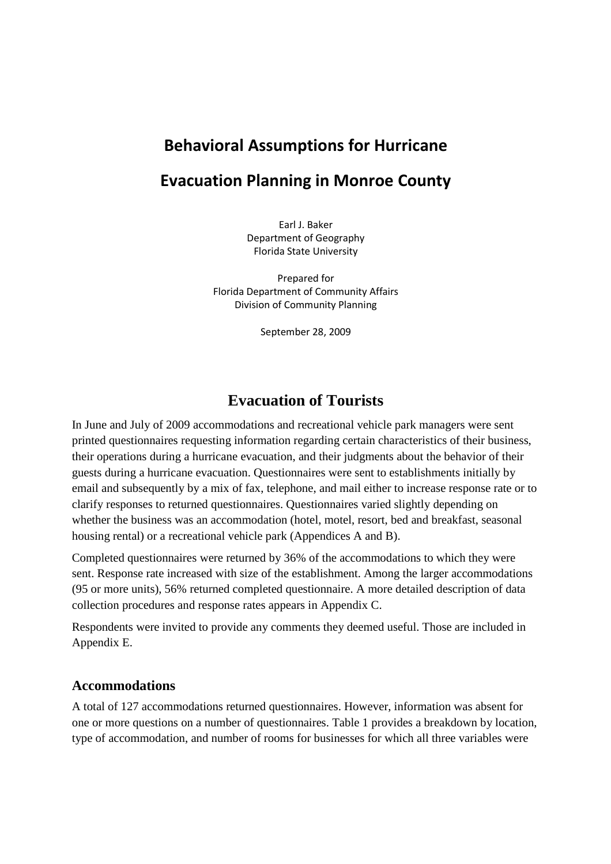# **Behavioral Assumptions for Hurricane**

## **Evacuation Planning in Monroe County**

Earl J. Baker Department of Geography Florida State University

Prepared for Florida Department of Community Affairs Division of Community Planning

September 28, 2009

## **Evacuation of Tourists**

In June and July of 2009 accommodations and recreational vehicle park managers were sent printed questionnaires requesting information regarding certain characteristics of their business, their operations during a hurricane evacuation, and their judgments about the behavior of their guests during a hurricane evacuation. Questionnaires were sent to establishments initially by email and subsequently by a mix of fax, telephone, and mail either to increase response rate or to clarify responses to returned questionnaires. Questionnaires varied slightly depending on whether the business was an accommodation (hotel, motel, resort, bed and breakfast, seasonal housing rental) or a recreational vehicle park (Appendices A and B).

Completed questionnaires were returned by 36% of the accommodations to which they were sent. Response rate increased with size of the establishment. Among the larger accommodations (95 or more units), 56% returned completed questionnaire. A more detailed description of data collection procedures and response rates appears in Appendix C.

Respondents were invited to provide any comments they deemed useful. Those are included in Appendix E.

### **Accommodations**

A total of 127 accommodations returned questionnaires. However, information was absent for one or more questions on a number of questionnaires. Table 1 provides a breakdown by location, type of accommodation, and number of rooms for businesses for which all three variables were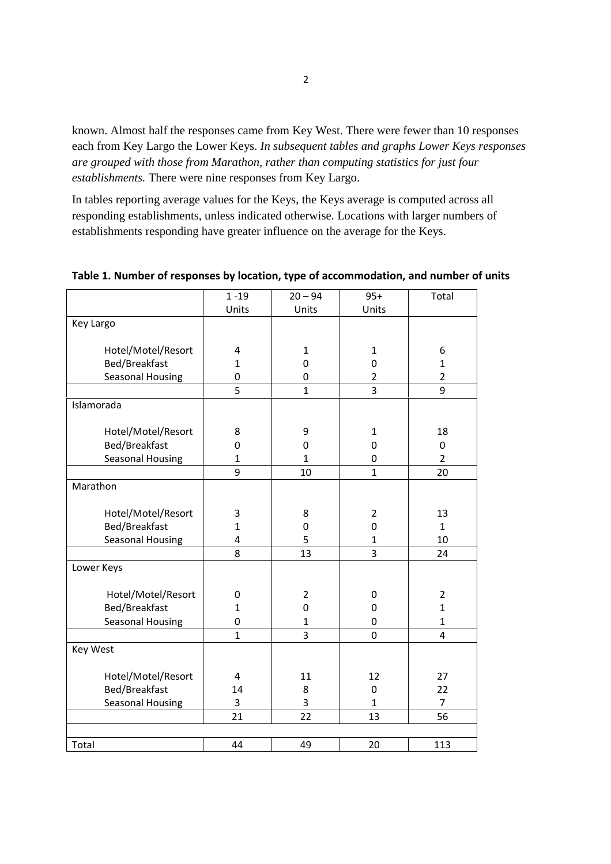known. Almost half the responses came from Key West. There were fewer than 10 responses each from Key Largo the Lower Keys. *In subsequent tables and graphs Lower Keys responses are grouped with those from Marathon, rather than computing statistics for just four establishments.* There were nine responses from Key Largo.

In tables reporting average values for the Keys, the Keys average is computed across all responding establishments, unless indicated otherwise. Locations with larger numbers of establishments responding have greater influence on the average for the Keys.

|                         | $1 - 19$                | $20 - 94$        | $95+$          | Total          |
|-------------------------|-------------------------|------------------|----------------|----------------|
|                         | Units                   | Units            | Units          |                |
| Key Largo               |                         |                  |                |                |
|                         |                         |                  |                |                |
| Hotel/Motel/Resort      | 4                       | $\mathbf{1}$     | $\mathbf{1}$   | 6              |
| Bed/Breakfast           | $\mathbf{1}$            | $\mathbf 0$      | $\mathbf 0$    | $\mathbf{1}$   |
| <b>Seasonal Housing</b> | $\mathbf 0$             | 0                | $\overline{2}$ | $\overline{2}$ |
|                         | 5                       | $\mathbf{1}$     | 3              | 9              |
| Islamorada              |                         |                  |                |                |
|                         |                         |                  |                |                |
| Hotel/Motel/Resort      | 8                       | 9                | $\mathbf{1}$   | 18             |
| Bed/Breakfast           | $\mathbf 0$             | $\mathbf 0$      | $\mathbf 0$    | 0              |
| Seasonal Housing        | $\mathbf{1}$            | $\mathbf{1}$     | 0              | $\overline{2}$ |
|                         | 9                       | 10               | $\mathbf{1}$   | 20             |
| Marathon                |                         |                  |                |                |
|                         |                         |                  |                |                |
| Hotel/Motel/Resort      | 3                       | 8                | $\overline{2}$ | 13             |
| Bed/Breakfast           | $\mathbf{1}$            | $\boldsymbol{0}$ | $\mathbf 0$    | $\mathbf{1}$   |
| <b>Seasonal Housing</b> | $\overline{\mathbf{4}}$ | 5                | $\mathbf{1}$   | 10             |
|                         | 8                       | 13               | 3              | 24             |
| Lower Keys              |                         |                  |                |                |
|                         |                         |                  |                |                |
| Hotel/Motel/Resort      | 0                       | $\mathbf 2$      | $\mathbf 0$    | $\overline{2}$ |
| Bed/Breakfast           | $\mathbf{1}$            | $\boldsymbol{0}$ | $\mathbf 0$    | $\mathbf{1}$   |
| Seasonal Housing        | $\pmb{0}$               | $\mathbf{1}$     | $\pmb{0}$      | $\mathbf{1}$   |
|                         | $\mathbf{1}$            | 3                | 0              | $\overline{4}$ |
| Key West                |                         |                  |                |                |
|                         |                         |                  |                |                |
| Hotel/Motel/Resort      | 4                       | 11               | 12             | 27             |
| Bed/Breakfast           | 14                      | 8                | 0              | 22             |
| Seasonal Housing        | 3                       | 3                | $\mathbf{1}$   | 7              |
|                         | 21                      | 22               | 13             | 56             |
|                         |                         |                  |                |                |
| Total                   | 44                      | 49               | 20             | 113            |

**Table 1. Number of responses by location, type of accommodation, and number of units**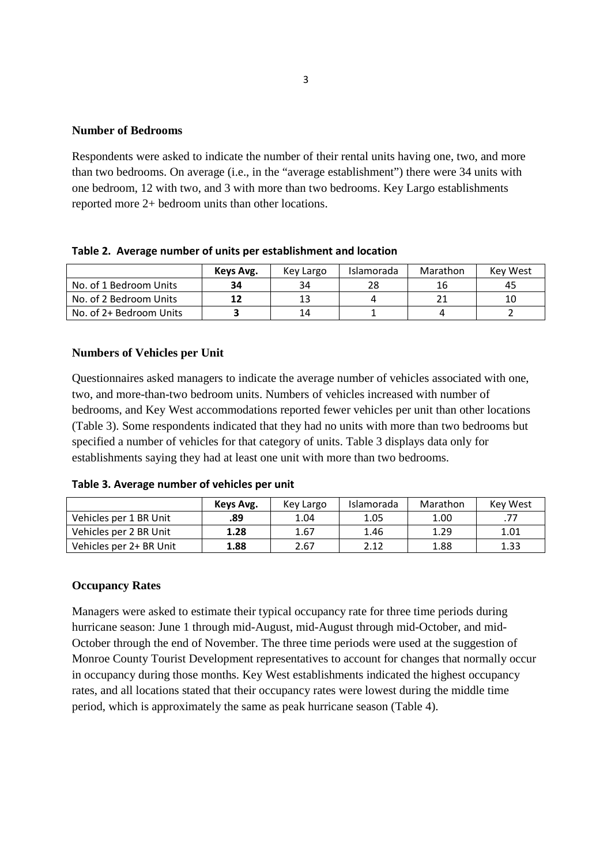#### **Number of Bedrooms**

Respondents were asked to indicate the number of their rental units having one, two, and more than two bedrooms. On average (i.e., in the "average establishment") there were 34 units with one bedroom, 12 with two, and 3 with more than two bedrooms. Key Largo establishments reported more 2+ bedroom units than other locations.

**Table 2. Average number of units per establishment and location**

|                         | Keys Avg. | Key Largo | Islamorada | Marathon | <b>Kev West</b> |
|-------------------------|-----------|-----------|------------|----------|-----------------|
| No. of 1 Bedroom Units  | 34        | 34        | 28         | 16       | 45              |
| No. of 2 Bedroom Units  | 12        |           |            |          |                 |
| No. of 2+ Bedroom Units |           | 14        |            |          |                 |

### **Numbers of Vehicles per Unit**

Questionnaires asked managers to indicate the average number of vehicles associated with one, two, and more-than-two bedroom units. Numbers of vehicles increased with number of bedrooms, and Key West accommodations reported fewer vehicles per unit than other locations (Table 3). Some respondents indicated that they had no units with more than two bedrooms but specified a number of vehicles for that category of units. Table 3 displays data only for establishments saying they had at least one unit with more than two bedrooms.

| Table 3. Average number of vehicles per unit |  |  |  |
|----------------------------------------------|--|--|--|
|                                              |  |  |  |

|                         | Keys Avg. | Key Largo | Islamorada | Marathon | Key West |
|-------------------------|-----------|-----------|------------|----------|----------|
| Vehicles per 1 BR Unit  | .89       | 1.04      | 1.05       | 1.00     |          |
| Vehicles per 2 BR Unit  | 1.28      | 1.67      | 1.46       | 1.29     | 1.01     |
| Vehicles per 2+ BR Unit | 1.88      | 2.67      | 2.12       | 1.88     | 1.33     |

#### **Occupancy Rates**

Managers were asked to estimate their typical occupancy rate for three time periods during hurricane season: June 1 through mid-August, mid-August through mid-October, and mid-October through the end of November. The three time periods were used at the suggestion of Monroe County Tourist Development representatives to account for changes that normally occur in occupancy during those months. Key West establishments indicated the highest occupancy rates, and all locations stated that their occupancy rates were lowest during the middle time period, which is approximately the same as peak hurricane season (Table 4).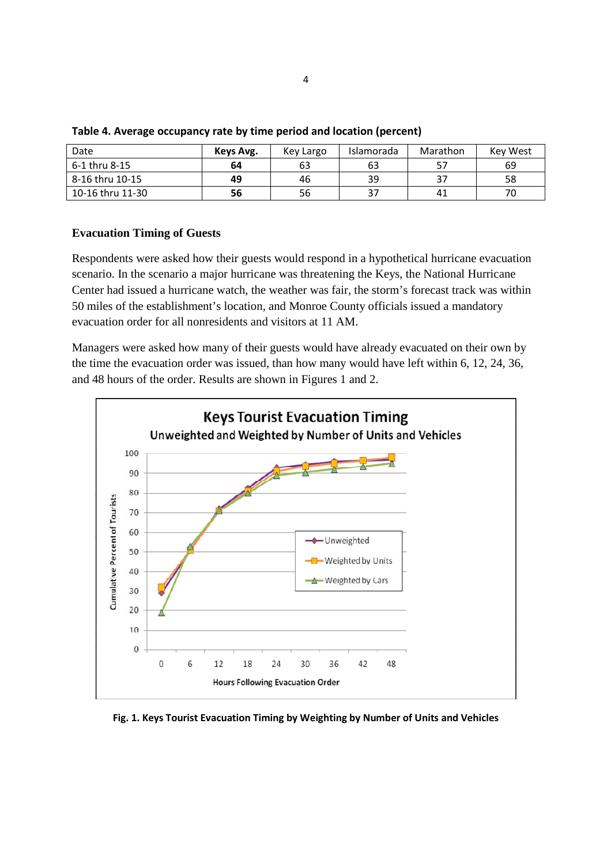| Date             | Keys Avg. | Key Largo | Islamorada | Marathon | <b>Key West</b> |
|------------------|-----------|-----------|------------|----------|-----------------|
| 6-1 thru 8-15    | 64        | 63        | 63         | 57       | 69              |
| 8-16 thru 10-15  | 49        | 46        | 39         | 37       | 58              |
| 10-16 thru 11-30 | 56        | 56        | 37         | 41       | 70              |

| Table 4. Average occupancy rate by time period and location (percent) |  |  |  |
|-----------------------------------------------------------------------|--|--|--|
|-----------------------------------------------------------------------|--|--|--|

#### **Evacuation Timing of Guests**

Respondents were asked how their guests would respond in a hypothetical hurricane evacuation scenario. In the scenario a major hurricane was threatening the Keys, the National Hurricane Center had issued a hurricane watch, the weather was fair, the storm's forecast track was within 50 miles of the establishment's location, and Monroe County officials issued a mandatory evacuation order for all nonresidents and visitors at 11 AM.

Managers were asked how many of their guests would have already evacuated on their own by the time the evacuation order was issued, than how many would have left within 6, 12, 24, 36, and 48 hours of the order. Results are shown in Figures 1 and 2.



**Fig. 1. Keys Tourist Evacuation Timing by Weighting by Number of Units and Vehicles**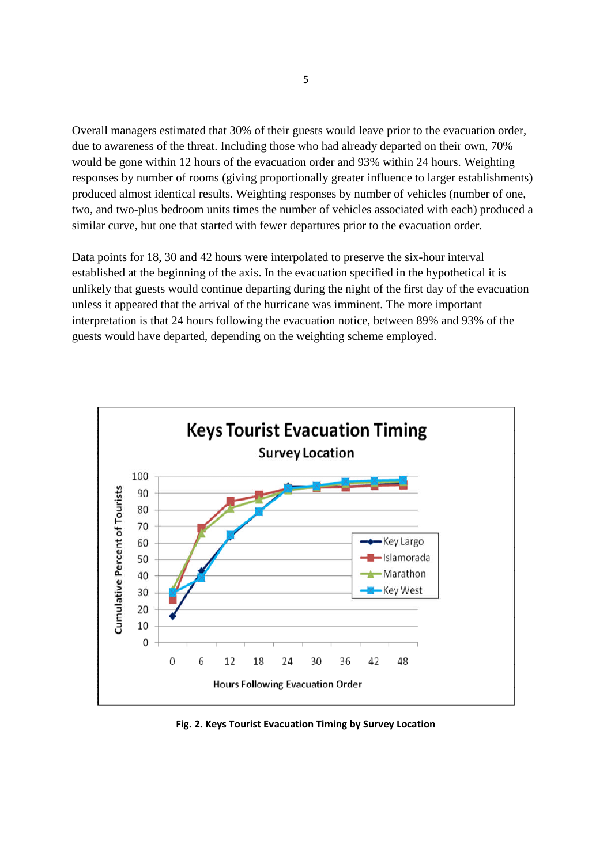Overall managers estimated that 30% of their guests would leave prior to the evacuation order, due to awareness of the threat. Including those who had already departed on their own, 70% would be gone within 12 hours of the evacuation order and 93% within 24 hours. Weighting responses by number of rooms (giving proportionally greater influence to larger establishments) produced almost identical results. Weighting responses by number of vehicles (number of one, two, and two-plus bedroom units times the number of vehicles associated with each) produced a similar curve, but one that started with fewer departures prior to the evacuation order.

Data points for 18, 30 and 42 hours were interpolated to preserve the six-hour interval established at the beginning of the axis. In the evacuation specified in the hypothetical it is unlikely that guests would continue departing during the night of the first day of the evacuation unless it appeared that the arrival of the hurricane was imminent. The more important interpretation is that 24 hours following the evacuation notice, between 89% and 93% of the guests would have departed, depending on the weighting scheme employed.



**Fig. 2. Keys Tourist Evacuation Timing by Survey Location**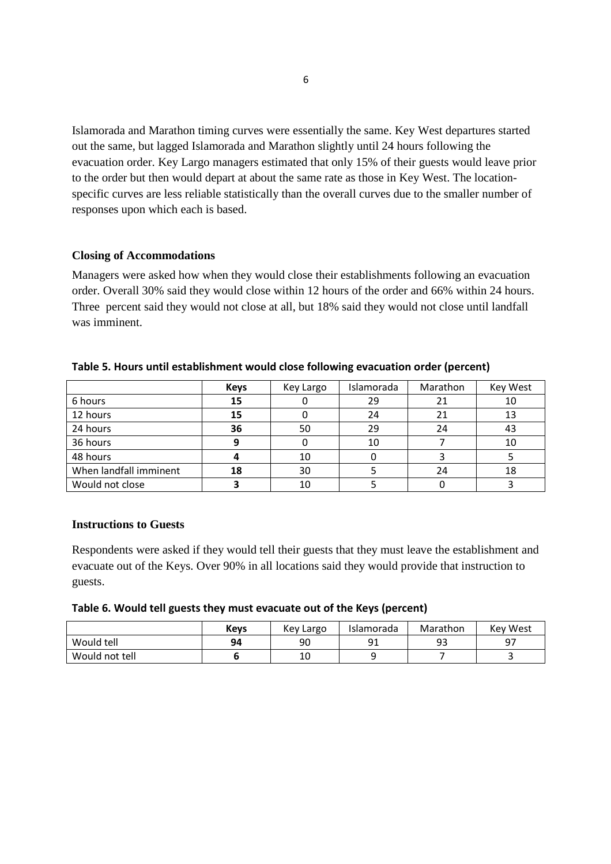Islamorada and Marathon timing curves were essentially the same. Key West departures started out the same, but lagged Islamorada and Marathon slightly until 24 hours following the evacuation order. Key Largo managers estimated that only 15% of their guests would leave prior to the order but then would depart at about the same rate as those in Key West. The locationspecific curves are less reliable statistically than the overall curves due to the smaller number of responses upon which each is based.

#### **Closing of Accommodations**

Managers were asked how when they would close their establishments following an evacuation order. Overall 30% said they would close within 12 hours of the order and 66% within 24 hours. Three percent said they would not close at all, but 18% said they would not close until landfall was imminent.

|                        | <b>Keys</b> | Key Largo | Islamorada | Marathon | Key West |
|------------------------|-------------|-----------|------------|----------|----------|
| 6 hours                | 15          |           | 29         | 21       | 10       |
| 12 hours               | 15          |           | 24         | 21       | 13       |
| 24 hours               | 36          | 50        | 29         | 24       | 43       |
| 36 hours               |             |           | 10         |          | 10       |
| 48 hours               |             | 10        |            |          |          |
| When landfall imminent | 18          | 30        |            | 24       | 18       |
| Would not close        |             | 10        |            |          |          |

#### **Table 5. Hours until establishment would close following evacuation order (percent)**

#### **Instructions to Guests**

Respondents were asked if they would tell their guests that they must leave the establishment and evacuate out of the Keys. Over 90% in all locations said they would provide that instruction to guests.

#### **Table 6. Would tell guests they must evacuate out of the Keys (percent)**

|                | <b>Keys</b> | Key Largo | Islamorada | Marathon  | <b>Kev West</b> |
|----------------|-------------|-----------|------------|-----------|-----------------|
| Would tell     | 94          | 90        | n 1        | ۵a<br>ر ر | 07              |
| Would not tell |             | 10        |            |           |                 |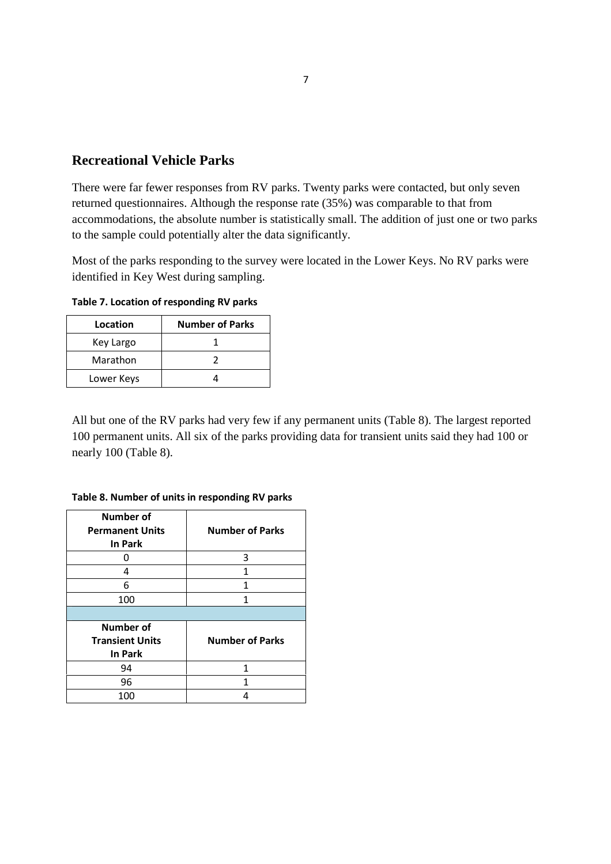## **Recreational Vehicle Parks**

There were far fewer responses from RV parks. Twenty parks were contacted, but only seven returned questionnaires. Although the response rate (35%) was comparable to that from accommodations, the absolute number is statistically small. The addition of just one or two parks to the sample could potentially alter the data significantly.

Most of the parks responding to the survey were located in the Lower Keys. No RV parks were identified in Key West during sampling.

**Table 7. Location of responding RV parks**

| Location   | <b>Number of Parks</b> |
|------------|------------------------|
| Key Largo  |                        |
| Marathon   |                        |
| Lower Keys |                        |

All but one of the RV parks had very few if any permanent units (Table 8). The largest reported 100 permanent units. All six of the parks providing data for transient units said they had 100 or nearly 100 (Table 8).

**Table 8. Number of units in responding RV parks**

| Number of<br><b>Permanent Units</b><br>In Park        | <b>Number of Parks</b> |
|-------------------------------------------------------|------------------------|
|                                                       | 3                      |
| 4                                                     | 1                      |
| 6                                                     | 1                      |
| 100                                                   | 1                      |
|                                                       |                        |
|                                                       |                        |
| Number of<br><b>Transient Units</b><br><b>In Park</b> | <b>Number of Parks</b> |
| 94                                                    | 1                      |
| 96                                                    | 1                      |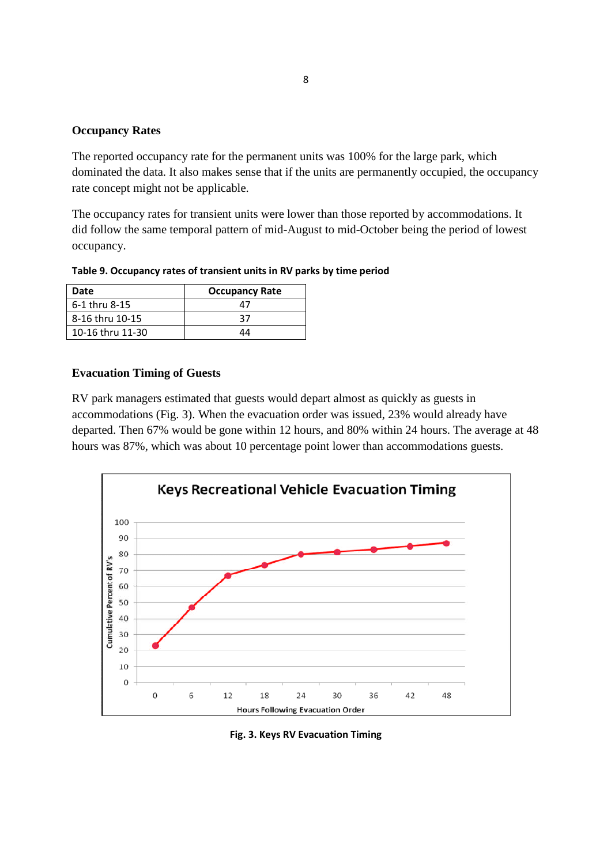### **Occupancy Rates**

The reported occupancy rate for the permanent units was 100% for the large park, which dominated the data. It also makes sense that if the units are permanently occupied, the occupancy rate concept might not be applicable.

The occupancy rates for transient units were lower than those reported by accommodations. It did follow the same temporal pattern of mid-August to mid-October being the period of lowest occupancy.

**Table 9. Occupancy rates of transient units in RV parks by time period**

| Date             | <b>Occupancy Rate</b> |
|------------------|-----------------------|
| 6-1 thru 8-15    | 7                     |
| 8-16 thru 10-15  | 37                    |
| 10-16 thru 11-30 | ΛЛ                    |

#### **Evacuation Timing of Guests**

RV park managers estimated that guests would depart almost as quickly as guests in accommodations (Fig. 3). When the evacuation order was issued, 23% would already have departed. Then 67% would be gone within 12 hours, and 80% within 24 hours. The average at 48 hours was 87%, which was about 10 percentage point lower than accommodations guests.



**Fig. 3. Keys RV Evacuation Timing**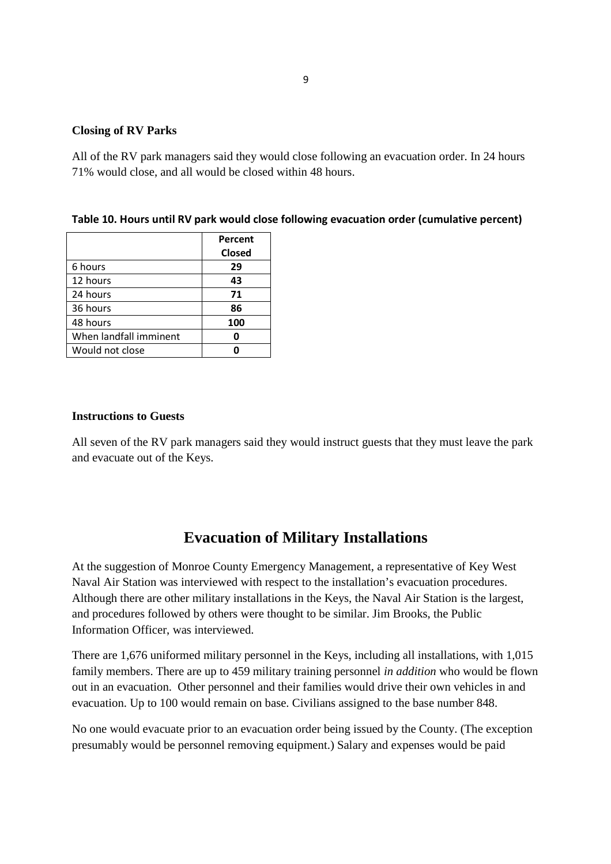#### **Closing of RV Parks**

All of the RV park managers said they would close following an evacuation order. In 24 hours 71% would close, and all would be closed within 48 hours.

|  |  |  | Table 10. Hours until RV park would close following evacuation order (cumulative percent) |
|--|--|--|-------------------------------------------------------------------------------------------|
|--|--|--|-------------------------------------------------------------------------------------------|

|                        | Percent       |
|------------------------|---------------|
|                        | <b>Closed</b> |
| 6 hours                | 29            |
| 12 hours               | 43            |
| 24 hours               | 71            |
| 36 hours               | 86            |
| 48 hours               | 100           |
| When landfall imminent | Ω             |
| Would not close        |               |

#### **Instructions to Guests**

All seven of the RV park managers said they would instruct guests that they must leave the park and evacuate out of the Keys.

## **Evacuation of Military Installations**

At the suggestion of Monroe County Emergency Management, a representative of Key West Naval Air Station was interviewed with respect to the installation's evacuation procedures. Although there are other military installations in the Keys, the Naval Air Station is the largest, and procedures followed by others were thought to be similar. Jim Brooks, the Public Information Officer, was interviewed.

There are 1,676 uniformed military personnel in the Keys, including all installations, with 1,015 family members. There are up to 459 military training personnel *in addition* who would be flown out in an evacuation. Other personnel and their families would drive their own vehicles in and evacuation. Up to 100 would remain on base. Civilians assigned to the base number 848.

No one would evacuate prior to an evacuation order being issued by the County. (The exception presumably would be personnel removing equipment.) Salary and expenses would be paid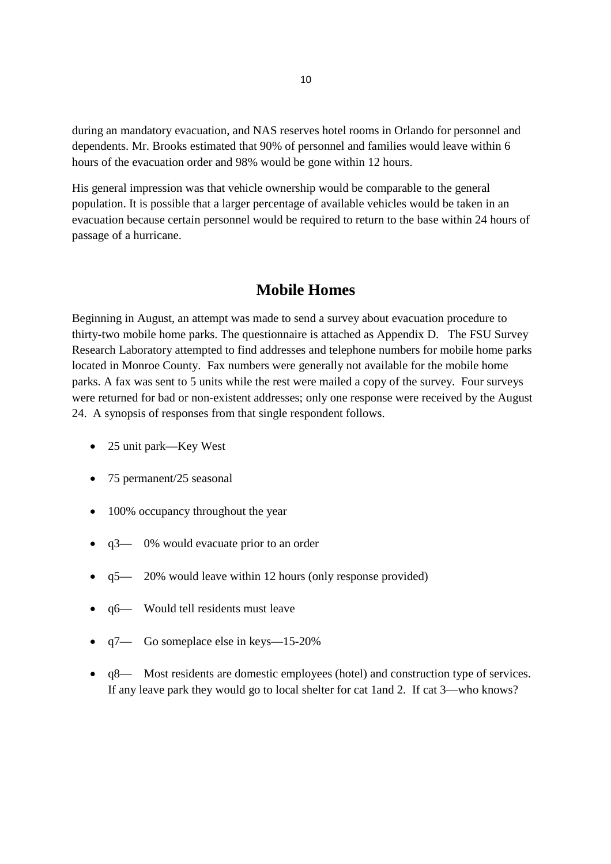during an mandatory evacuation, and NAS reserves hotel rooms in Orlando for personnel and dependents. Mr. Brooks estimated that 90% of personnel and families would leave within 6 hours of the evacuation order and 98% would be gone within 12 hours.

His general impression was that vehicle ownership would be comparable to the general population. It is possible that a larger percentage of available vehicles would be taken in an evacuation because certain personnel would be required to return to the base within 24 hours of passage of a hurricane.

## **Mobile Homes**

Beginning in August, an attempt was made to send a survey about evacuation procedure to thirty-two mobile home parks. The questionnaire is attached as Appendix D. The FSU Survey Research Laboratory attempted to find addresses and telephone numbers for mobile home parks located in Monroe County. Fax numbers were generally not available for the mobile home parks. A fax was sent to 5 units while the rest were mailed a copy of the survey. Four surveys were returned for bad or non-existent addresses; only one response were received by the August 24. A synopsis of responses from that single respondent follows.

- 25 unit park—Key West
- 75 permanent/25 seasonal
- 100% occupancy throughout the year
- q3— 0% would evacuate prior to an order
- $q5 20\%$  would leave within 12 hours (only response provided)
- q6— Would tell residents must leave
- q7— Go someplace else in keys—15-20%
- q8— Most residents are domestic employees (hotel) and construction type of services. If any leave park they would go to local shelter for cat 1and 2. If cat 3—who knows?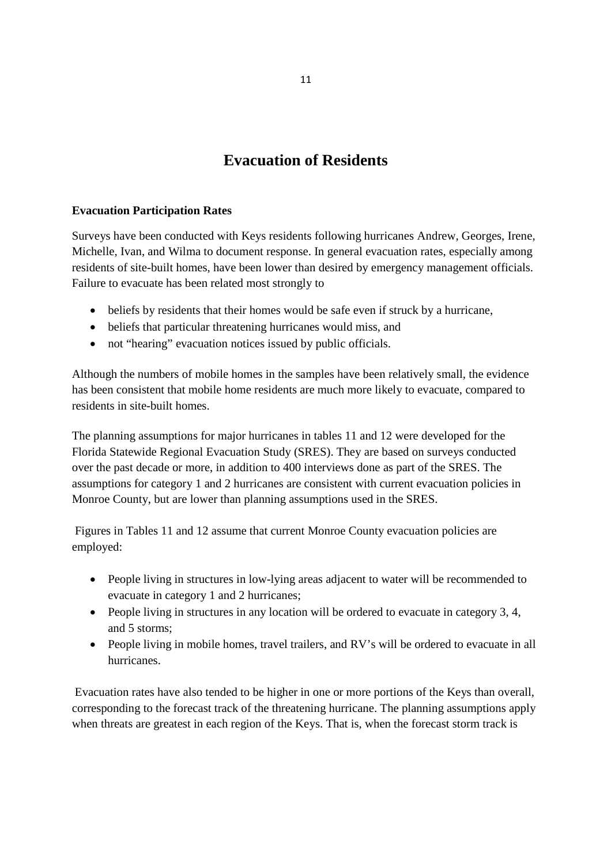## **Evacuation of Residents**

## **Evacuation Participation Rates**

Surveys have been conducted with Keys residents following hurricanes Andrew, Georges, Irene, Michelle, Ivan, and Wilma to document response. In general evacuation rates, especially among residents of site-built homes, have been lower than desired by emergency management officials. Failure to evacuate has been related most strongly to

- beliefs by residents that their homes would be safe even if struck by a hurricane,
- beliefs that particular threatening hurricanes would miss, and
- not "hearing" evacuation notices issued by public officials.

Although the numbers of mobile homes in the samples have been relatively small, the evidence has been consistent that mobile home residents are much more likely to evacuate, compared to residents in site-built homes.

The planning assumptions for major hurricanes in tables 11 and 12 were developed for the Florida Statewide Regional Evacuation Study (SRES). They are based on surveys conducted over the past decade or more, in addition to 400 interviews done as part of the SRES. The assumptions for category 1 and 2 hurricanes are consistent with current evacuation policies in Monroe County, but are lower than planning assumptions used in the SRES.

Figures in Tables 11 and 12 assume that current Monroe County evacuation policies are employed:

- People living in structures in low-lying areas adjacent to water will be recommended to evacuate in category 1 and 2 hurricanes;
- People living in structures in any location will be ordered to evacuate in category 3, 4, and 5 storms;
- People living in mobile homes, travel trailers, and RV's will be ordered to evacuate in all hurricanes.

Evacuation rates have also tended to be higher in one or more portions of the Keys than overall, corresponding to the forecast track of the threatening hurricane. The planning assumptions apply when threats are greatest in each region of the Keys. That is, when the forecast storm track is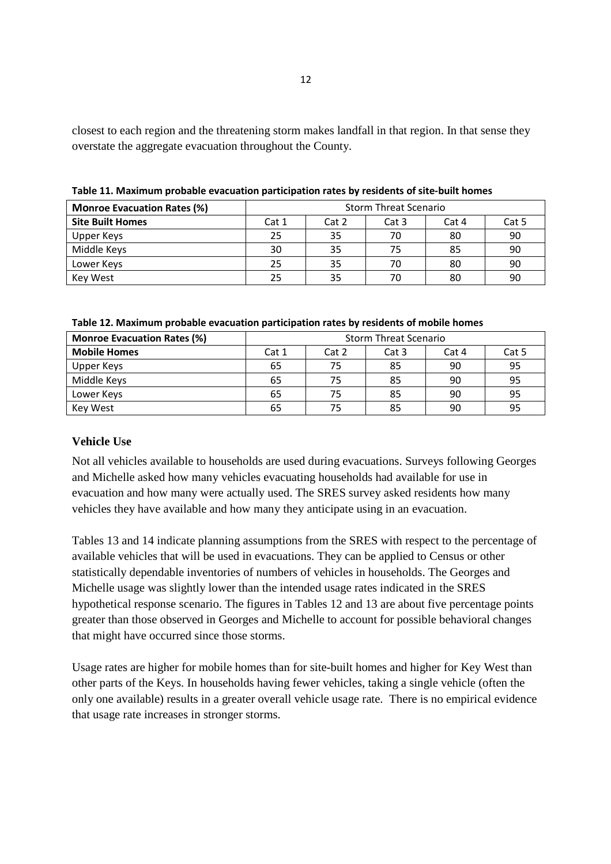closest to each region and the threatening storm makes landfall in that region. In that sense they overstate the aggregate evacuation throughout the County.

| <b>Monroe Evacuation Rates (%)</b> | <b>Storm Threat Scenario</b> |       |       |       |       |
|------------------------------------|------------------------------|-------|-------|-------|-------|
| <b>Site Built Homes</b>            | Cat 1                        | Cat 2 | Cat 3 | Cat 4 | Cat 5 |
| Upper Keys                         | 25                           | 35    | 70    | 80    | 90    |
| Middle Keys                        | 30                           | 35    | 75    | 85    | 90    |
| Lower Keys                         | 25                           | 35    | 70    | 80    | 90    |
| <b>Kev West</b>                    | 25                           | 35    |       | 80    | 90    |

**Table 11. Maximum probable evacuation participation rates by residents of site-built homes**

| <b>Monroe Evacuation Rates (%)</b> | <b>Storm Threat Scenario</b> |       |                  |       |       |
|------------------------------------|------------------------------|-------|------------------|-------|-------|
| <b>Mobile Homes</b>                | Cat 1                        | Cat 2 | Cat <sub>3</sub> | Cat 4 | Cat 5 |
| Upper Keys                         | 65                           | 75    | 85               | 90    | 95    |
| Middle Keys                        | 65                           | 75    | 85               | 90    | 95    |
| Lower Keys                         | 65                           | 75    | 85               | 90    | 95    |
| Key West                           | 65                           | 75    | 85               | 90    | 95    |

### **Vehicle Use**

Not all vehicles available to households are used during evacuations. Surveys following Georges and Michelle asked how many vehicles evacuating households had available for use in evacuation and how many were actually used. The SRES survey asked residents how many vehicles they have available and how many they anticipate using in an evacuation.

Tables 13 and 14 indicate planning assumptions from the SRES with respect to the percentage of available vehicles that will be used in evacuations. They can be applied to Census or other statistically dependable inventories of numbers of vehicles in households. The Georges and Michelle usage was slightly lower than the intended usage rates indicated in the SRES hypothetical response scenario. The figures in Tables 12 and 13 are about five percentage points greater than those observed in Georges and Michelle to account for possible behavioral changes that might have occurred since those storms.

Usage rates are higher for mobile homes than for site-built homes and higher for Key West than other parts of the Keys. In households having fewer vehicles, taking a single vehicle (often the only one available) results in a greater overall vehicle usage rate. There is no empirical evidence that usage rate increases in stronger storms.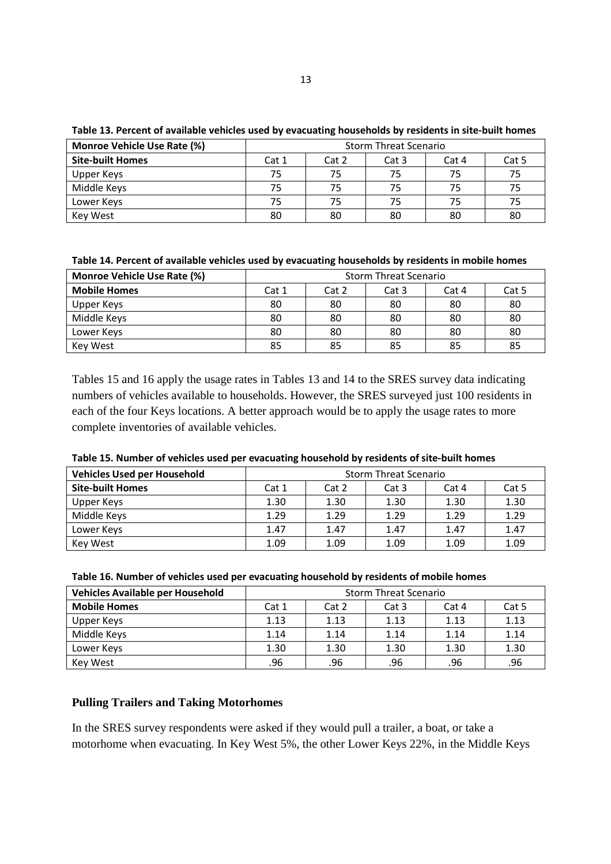| <b>Monroe Vehicle Use Rate (%)</b> | <b>Storm Threat Scenario</b> |       |       |       |       |
|------------------------------------|------------------------------|-------|-------|-------|-------|
| <b>Site-built Homes</b>            | Cat 1                        | Cat 2 | Cat 3 | Cat 4 | Cat 5 |
| Upper Keys                         | 75                           | 75    | 75    | 75    | 75    |
| Middle Keys                        | 75                           | 75    | 75    | 75    | 75    |
| Lower Keys                         | 75                           | 75    | 75    | 75    | 75    |
| Key West                           | 80                           | 80    | 80    | 80    | 80    |

**Table 13. Percent of available vehicles used by evacuating households by residents in site-built homes**

| Table 14. Percent of available vehicles used by evacuating households by residents in mobile homes |
|----------------------------------------------------------------------------------------------------|
|----------------------------------------------------------------------------------------------------|

| <b>Monroe Vehicle Use Rate (%)</b> | <b>Storm Threat Scenario</b> |       |       |       |       |
|------------------------------------|------------------------------|-------|-------|-------|-------|
| <b>Mobile Homes</b>                | Cat 1                        | Cat 2 | Cat 3 | Cat 4 | Cat 5 |
| Upper Keys                         | 80                           | 80    | 80    | 80    | 80    |
| Middle Keys                        | 80                           | 80    | 80    | 80    | 80    |
| Lower Keys                         | 80                           | 80    | 80    | 80    | 80    |
| Key West                           | 85                           | 85    | 85    | 85    | 85    |

Tables 15 and 16 apply the usage rates in Tables 13 and 14 to the SRES survey data indicating numbers of vehicles available to households. However, the SRES surveyed just 100 residents in each of the four Keys locations. A better approach would be to apply the usage rates to more complete inventories of available vehicles.

| <b>Vehicles Used per Household</b> | <b>Storm Threat Scenario</b> |       |       |       |       |
|------------------------------------|------------------------------|-------|-------|-------|-------|
| <b>Site-built Homes</b>            | Cat 1                        | Cat 2 | Cat 3 | Cat 4 | Cat 5 |
| Upper Keys                         | 1.30                         | 1.30  | 1.30  | 1.30  | 1.30  |
| Middle Keys                        | 1.29                         | 1.29  | 1.29  | 1.29  | 1.29  |
| Lower Keys                         | 1.47                         | 1.47  | 1.47  | 1.47  | 1.47  |
| Key West                           | 1.09                         | 1.09  | 1.09  | 1.09  | 1.09  |

**Table 15. Number of vehicles used per evacuating household by residents of site-built homes**

| Vehicles Available per Household | <b>Storm Threat Scenario</b> |       |       |       |       |
|----------------------------------|------------------------------|-------|-------|-------|-------|
| <b>Mobile Homes</b>              | Cat 1                        | Cat 2 | Cat 3 | Cat 4 | Cat 5 |
| Upper Keys                       | 1.13                         | 1.13  | 1.13  | 1.13  | 1.13  |
| Middle Keys                      | 1.14                         | 1.14  | 1.14  | 1.14  | 1.14  |
| Lower Keys                       | 1.30                         | 1.30  | 1.30  | 1.30  | 1.30  |
| Key West                         | .96                          | .96   | .96   | .96   | .96   |

## **Pulling Trailers and Taking Motorhomes**

In the SRES survey respondents were asked if they would pull a trailer, a boat, or take a motorhome when evacuating. In Key West 5%, the other Lower Keys 22%, in the Middle Keys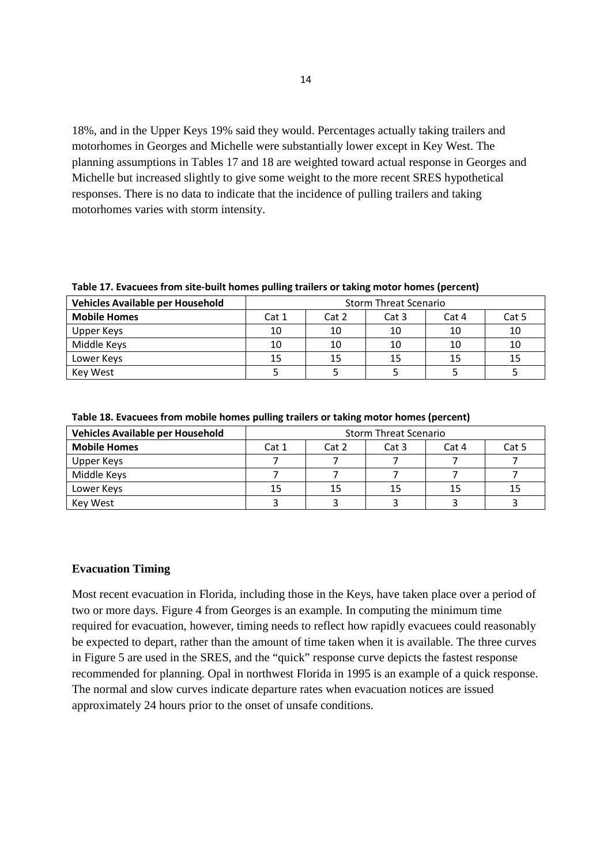18%, and in the Upper Keys 19% said they would. Percentages actually taking trailers and motorhomes in Georges and Michelle were substantially lower except in Key West. The planning assumptions in Tables 17 and 18 are weighted toward actual response in Georges and Michelle but increased slightly to give some weight to the more recent SRES hypothetical responses. There is no data to indicate that the incidence of pulling trailers and taking motorhomes varies with storm intensity.

| Table 17. Evacuees from site-built homes pulling trailers or taking motor homes (percent) |  |  |  |
|-------------------------------------------------------------------------------------------|--|--|--|
|-------------------------------------------------------------------------------------------|--|--|--|

| Vehicles Available per Household | <b>Storm Threat Scenario</b> |       |       |       |       |
|----------------------------------|------------------------------|-------|-------|-------|-------|
| <b>Mobile Homes</b>              | Cat 1                        | Cat 2 | Cat 3 | Cat 4 | Cat 5 |
| Upper Keys                       | 10                           | 10    | 10    | 10    | 10    |
| Middle Keys                      | 10                           | 10    | 10    | 10    | 10    |
| Lower Keys                       | 15                           | 15    |       | 15    | 15    |
| Kev West                         |                              |       |       |       |       |

| Vehicles Available per Household | <b>Storm Threat Scenario</b> |       |       |       |       |
|----------------------------------|------------------------------|-------|-------|-------|-------|
| <b>Mobile Homes</b>              | Cat 1                        | Cat 2 | Cat 3 | Cat 4 | Cat 5 |
| Upper Keys                       |                              |       |       |       |       |
| Middle Keys                      |                              |       |       |       |       |
| Lower Keys                       | 15                           | 15    |       | 15    | 15    |
| Key West                         |                              |       |       |       |       |

**Table 18. Evacuees from mobile homes pulling trailers or taking motor homes (percent)**

### **Evacuation Timing**

Most recent evacuation in Florida, including those in the Keys, have taken place over a period of two or more days. Figure 4 from Georges is an example. In computing the minimum time required for evacuation, however, timing needs to reflect how rapidly evacuees could reasonably be expected to depart, rather than the amount of time taken when it is available. The three curves in Figure 5 are used in the SRES, and the "quick" response curve depicts the fastest response recommended for planning. Opal in northwest Florida in 1995 is an example of a quick response. The normal and slow curves indicate departure rates when evacuation notices are issued approximately 24 hours prior to the onset of unsafe conditions.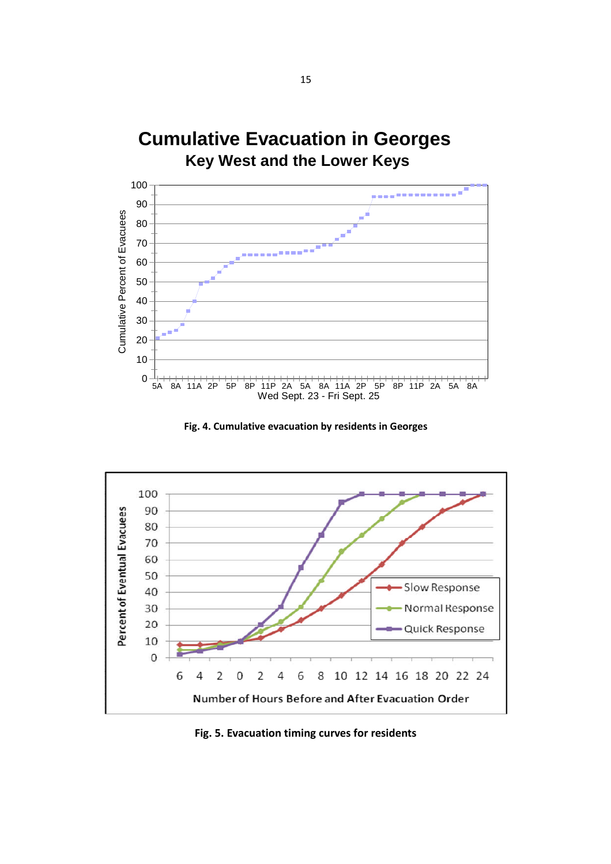





**Fig. 5. Evacuation timing curves for residents**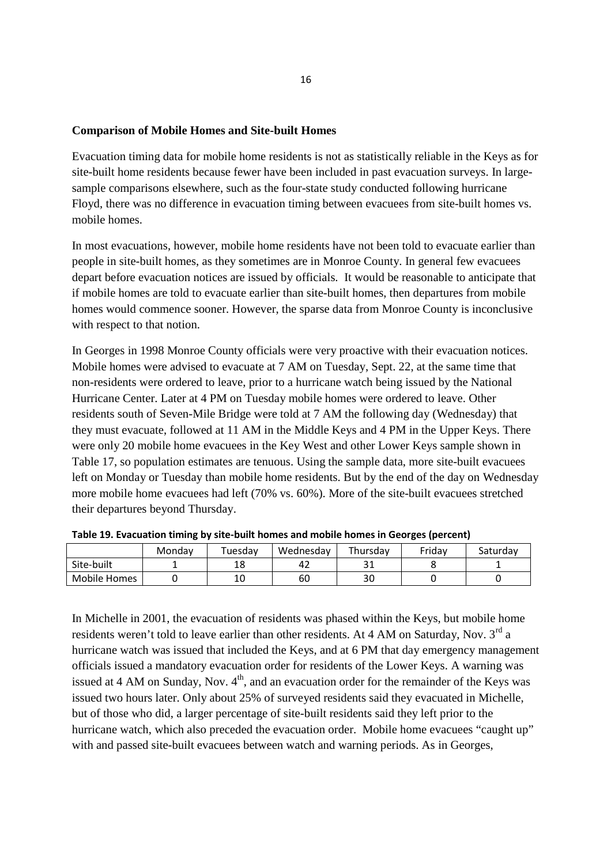#### **Comparison of Mobile Homes and Site-built Homes**

Evacuation timing data for mobile home residents is not as statistically reliable in the Keys as for site-built home residents because fewer have been included in past evacuation surveys. In largesample comparisons elsewhere, such as the four-state study conducted following hurricane Floyd, there was no difference in evacuation timing between evacuees from site-built homes vs. mobile homes.

In most evacuations, however, mobile home residents have not been told to evacuate earlier than people in site-built homes, as they sometimes are in Monroe County. In general few evacuees depart before evacuation notices are issued by officials. It would be reasonable to anticipate that if mobile homes are told to evacuate earlier than site-built homes, then departures from mobile homes would commence sooner. However, the sparse data from Monroe County is inconclusive with respect to that notion.

In Georges in 1998 Monroe County officials were very proactive with their evacuation notices. Mobile homes were advised to evacuate at 7 AM on Tuesday, Sept. 22, at the same time that non-residents were ordered to leave, prior to a hurricane watch being issued by the National Hurricane Center. Later at 4 PM on Tuesday mobile homes were ordered to leave. Other residents south of Seven-Mile Bridge were told at 7 AM the following day (Wednesday) that they must evacuate, followed at 11 AM in the Middle Keys and 4 PM in the Upper Keys. There were only 20 mobile home evacuees in the Key West and other Lower Keys sample shown in Table 17, so population estimates are tenuous. Using the sample data, more site-built evacuees left on Monday or Tuesday than mobile home residents. But by the end of the day on Wednesday more mobile home evacuees had left (70% vs. 60%). More of the site-built evacuees stretched their departures beyond Thursday.

|              |        |         |           | --        |        |          |
|--------------|--------|---------|-----------|-----------|--------|----------|
|              | Monday | Tuesday | Wednesday | Thursdav  | Fridav | Saturdav |
| Site-built   |        | ⊥Ο      | 42        | 21<br>⊥ ب |        |          |
| Mobile Homes |        | 10      | 60        | 30        |        |          |

**Table 19. Evacuation timing by site-built homes and mobile homes in Georges (percent)**

In Michelle in 2001, the evacuation of residents was phased within the Keys, but mobile home residents weren't told to leave earlier than other residents. At 4 AM on Saturday, Nov. 3<sup>rd</sup> a hurricane watch was issued that included the Keys, and at 6 PM that day emergency management officials issued a mandatory evacuation order for residents of the Lower Keys. A warning was issued at 4 AM on Sunday, Nov.  $4<sup>th</sup>$ , and an evacuation order for the remainder of the Keys was issued two hours later. Only about 25% of surveyed residents said they evacuated in Michelle, but of those who did, a larger percentage of site-built residents said they left prior to the hurricane watch, which also preceded the evacuation order. Mobile home evacuees "caught up" with and passed site-built evacuees between watch and warning periods. As in Georges,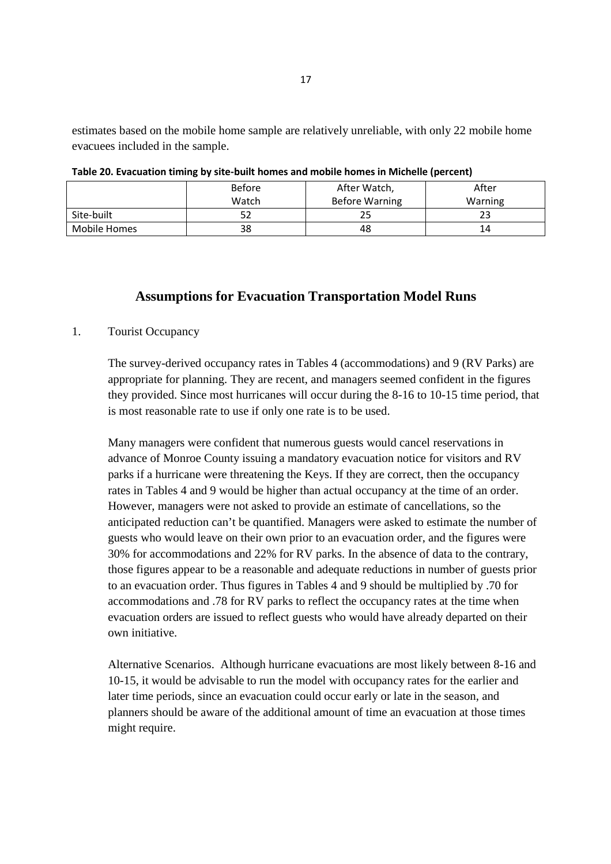estimates based on the mobile home sample are relatively unreliable, with only 22 mobile home evacuees included in the sample.

|              | <b>Before</b> | After Watch,          | After   |
|--------------|---------------|-----------------------|---------|
|              | Watch         | <b>Before Warning</b> | Warning |
| Site-built   | 52            | 25                    |         |
| Mobile Homes | 38            | 48                    | 14      |

**Table 20. Evacuation timing by site-built homes and mobile homes in Michelle (percent)**

## **Assumptions for Evacuation Transportation Model Runs**

### 1. Tourist Occupancy

The survey-derived occupancy rates in Tables 4 (accommodations) and 9 (RV Parks) are appropriate for planning. They are recent, and managers seemed confident in the figures they provided. Since most hurricanes will occur during the 8-16 to 10-15 time period, that is most reasonable rate to use if only one rate is to be used.

Many managers were confident that numerous guests would cancel reservations in advance of Monroe County issuing a mandatory evacuation notice for visitors and RV parks if a hurricane were threatening the Keys. If they are correct, then the occupancy rates in Tables 4 and 9 would be higher than actual occupancy at the time of an order. However, managers were not asked to provide an estimate of cancellations, so the anticipated reduction can't be quantified. Managers were asked to estimate the number of guests who would leave on their own prior to an evacuation order, and the figures were 30% for accommodations and 22% for RV parks. In the absence of data to the contrary, those figures appear to be a reasonable and adequate reductions in number of guests prior to an evacuation order. Thus figures in Tables 4 and 9 should be multiplied by .70 for accommodations and .78 for RV parks to reflect the occupancy rates at the time when evacuation orders are issued to reflect guests who would have already departed on their own initiative.

Alternative Scenarios. Although hurricane evacuations are most likely between 8-16 and 10-15, it would be advisable to run the model with occupancy rates for the earlier and later time periods, since an evacuation could occur early or late in the season, and planners should be aware of the additional amount of time an evacuation at those times might require.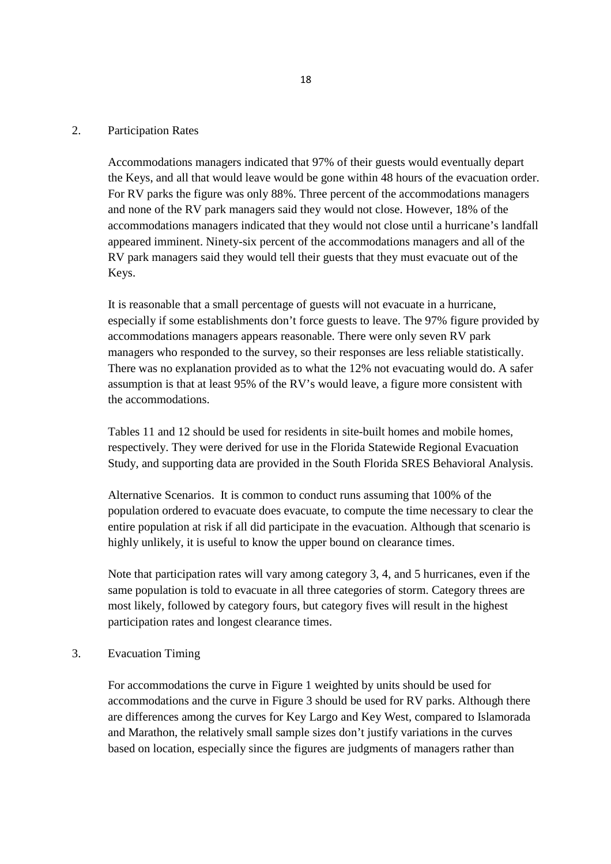#### 2. Participation Rates

Accommodations managers indicated that 97% of their guests would eventually depart the Keys, and all that would leave would be gone within 48 hours of the evacuation order. For RV parks the figure was only 88%. Three percent of the accommodations managers and none of the RV park managers said they would not close. However, 18% of the accommodations managers indicated that they would not close until a hurricane's landfall appeared imminent. Ninety-six percent of the accommodations managers and all of the RV park managers said they would tell their guests that they must evacuate out of the Keys.

It is reasonable that a small percentage of guests will not evacuate in a hurricane, especially if some establishments don't force guests to leave. The 97% figure provided by accommodations managers appears reasonable. There were only seven RV park managers who responded to the survey, so their responses are less reliable statistically. There was no explanation provided as to what the 12% not evacuating would do. A safer assumption is that at least 95% of the RV's would leave, a figure more consistent with the accommodations.

Tables 11 and 12 should be used for residents in site-built homes and mobile homes, respectively. They were derived for use in the Florida Statewide Regional Evacuation Study, and supporting data are provided in the South Florida SRES Behavioral Analysis.

Alternative Scenarios. It is common to conduct runs assuming that 100% of the population ordered to evacuate does evacuate, to compute the time necessary to clear the entire population at risk if all did participate in the evacuation. Although that scenario is highly unlikely, it is useful to know the upper bound on clearance times.

Note that participation rates will vary among category 3, 4, and 5 hurricanes, even if the same population is told to evacuate in all three categories of storm. Category threes are most likely, followed by category fours, but category fives will result in the highest participation rates and longest clearance times.

#### 3. Evacuation Timing

For accommodations the curve in Figure 1 weighted by units should be used for accommodations and the curve in Figure 3 should be used for RV parks. Although there are differences among the curves for Key Largo and Key West, compared to Islamorada and Marathon, the relatively small sample sizes don't justify variations in the curves based on location, especially since the figures are judgments of managers rather than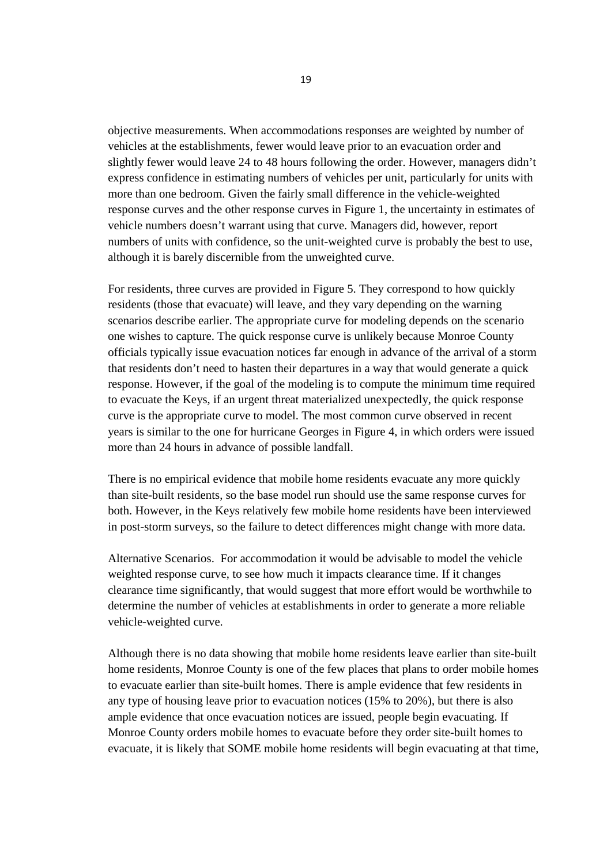objective measurements. When accommodations responses are weighted by number of vehicles at the establishments, fewer would leave prior to an evacuation order and slightly fewer would leave 24 to 48 hours following the order. However, managers didn't express confidence in estimating numbers of vehicles per unit, particularly for units with more than one bedroom. Given the fairly small difference in the vehicle-weighted response curves and the other response curves in Figure 1, the uncertainty in estimates of vehicle numbers doesn't warrant using that curve. Managers did, however, report numbers of units with confidence, so the unit-weighted curve is probably the best to use, although it is barely discernible from the unweighted curve.

For residents, three curves are provided in Figure 5. They correspond to how quickly residents (those that evacuate) will leave, and they vary depending on the warning scenarios describe earlier. The appropriate curve for modeling depends on the scenario one wishes to capture. The quick response curve is unlikely because Monroe County officials typically issue evacuation notices far enough in advance of the arrival of a storm that residents don't need to hasten their departures in a way that would generate a quick response. However, if the goal of the modeling is to compute the minimum time required to evacuate the Keys, if an urgent threat materialized unexpectedly, the quick response curve is the appropriate curve to model. The most common curve observed in recent years is similar to the one for hurricane Georges in Figure 4, in which orders were issued more than 24 hours in advance of possible landfall.

There is no empirical evidence that mobile home residents evacuate any more quickly than site-built residents, so the base model run should use the same response curves for both. However, in the Keys relatively few mobile home residents have been interviewed in post-storm surveys, so the failure to detect differences might change with more data.

Alternative Scenarios. For accommodation it would be advisable to model the vehicle weighted response curve, to see how much it impacts clearance time. If it changes clearance time significantly, that would suggest that more effort would be worthwhile to determine the number of vehicles at establishments in order to generate a more reliable vehicle-weighted curve.

Although there is no data showing that mobile home residents leave earlier than site-built home residents, Monroe County is one of the few places that plans to order mobile homes to evacuate earlier than site-built homes. There is ample evidence that few residents in any type of housing leave prior to evacuation notices (15% to 20%), but there is also ample evidence that once evacuation notices are issued, people begin evacuating. If Monroe County orders mobile homes to evacuate before they order site-built homes to evacuate, it is likely that SOME mobile home residents will begin evacuating at that time,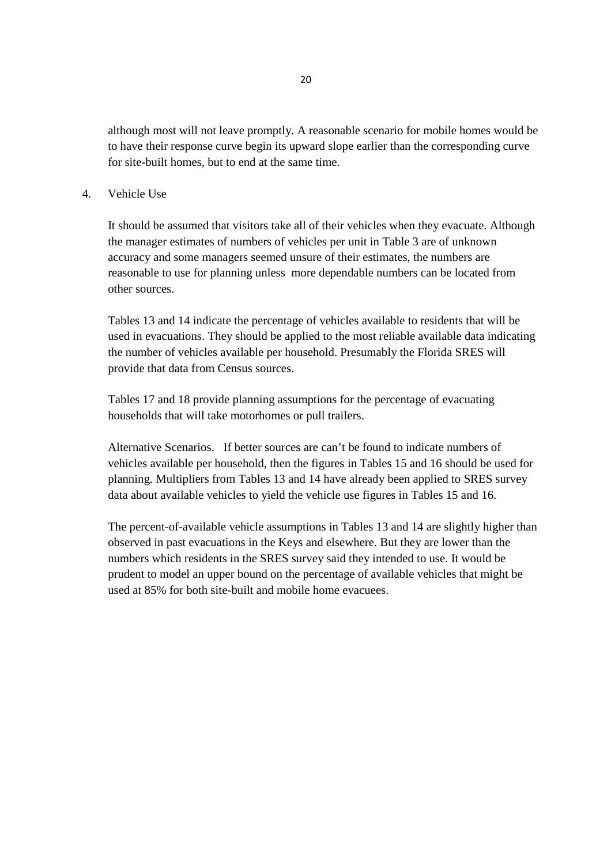although most will not leave promptly. A reasonable scenario for mobile homes would be to have their response curve begin its upward slope earlier than the corresponding curve for site-built homes, but to end at the same time.

#### 4. Vehicle Use

It should be assumed that visitors take all of their vehicles when they evacuate. Although the manager estimates of numbers of vehicles per unit in Table 3 are of unknown accuracy and some managers seemed unsure of their estimates, the numbers are reasonable to use for planning unless more dependable numbers can be located from other sources.

Tables 13 and 14 indicate the percentage of vehicles available to residents that will be used in evacuations. They should be applied to the most reliable available data indicating the number of vehicles available per household. Presumably the Florida SRES will provide that data from Census sources.

Tables 17 and 18 provide planning assumptions for the percentage of evacuating households that will take motorhomes or pull trailers.

Alternative Scenarios. If better sources are can't be found to indicate numbers of vehicles available per household, then the figures in Tables 15 and 16 should be used for planning. Multipliers from Tables 13 and 14 have already been applied to SRES survey data about available vehicles to yield the vehicle use figures in Tables 15 and 16.

The percent-of-available vehicle assumptions in Tables 13 and 14 are slightly higher than observed in past evacuations in the Keys and elsewhere. But they are lower than the numbers which residents in the SRES survey said they intended to use. It would be prudent to model an upper bound on the percentage of available vehicles that might be used at 85% for both site-built and mobile home evacuees.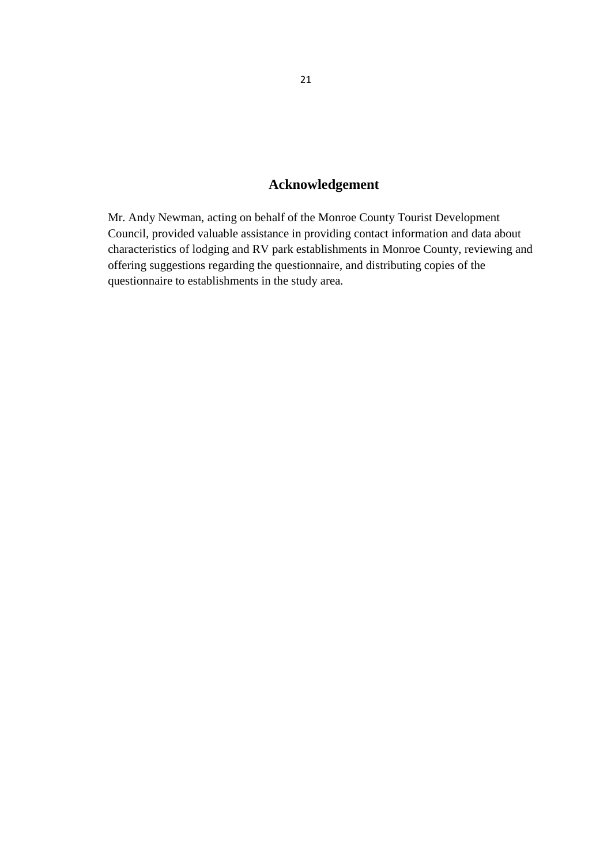## **Acknowledgement**

Mr. Andy Newman, acting on behalf of the Monroe County Tourist Development Council, provided valuable assistance in providing contact information and data about characteristics of lodging and RV park establishments in Monroe County, reviewing and offering suggestions regarding the questionnaire, and distributing copies of the questionnaire to establishments in the study area.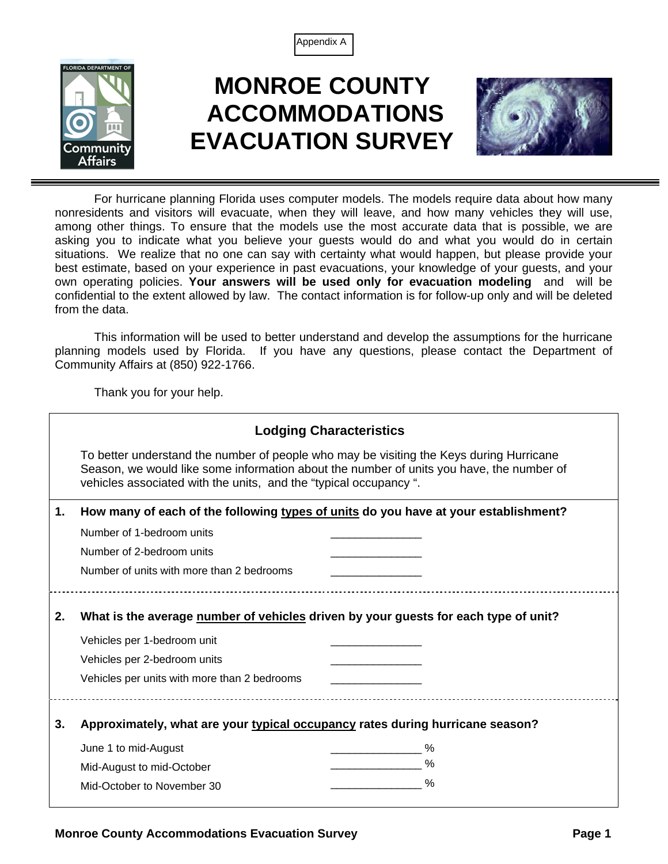



# **MONROE COUNTY ACCOMMODATIONS EVACUATION SURVEY**



For hurricane planning Florida uses computer models. The models require data about how many nonresidents and visitors will evacuate, when they will leave, and how many vehicles they will use, among other things. To ensure that the models use the most accurate data that is possible, we are asking you to indicate what you believe your guests would do and what you would do in certain situations. We realize that no one can say with certainty what would happen, but please provide your best estimate, based on your experience in past evacuations, your knowledge of your guests, and your own operating policies. **Your answers will be used only for evacuation modeling** and will be confidential to the extent allowed by law. The contact information is for follow-up only and will be deleted from the data.

This information will be used to better understand and develop the assumptions for the hurricane planning models used by Florida. If you have any questions, please contact the Department of Community Affairs at (850) 922-1766.

Thank you for your help.

|    | <b>Lodging Characteristics</b>                                                                                                                                                                                                                          |  |  |  |  |  |  |  |  |
|----|---------------------------------------------------------------------------------------------------------------------------------------------------------------------------------------------------------------------------------------------------------|--|--|--|--|--|--|--|--|
|    | To better understand the number of people who may be visiting the Keys during Hurricane<br>Season, we would like some information about the number of units you have, the number of<br>vehicles associated with the units, and the "typical occupancy". |  |  |  |  |  |  |  |  |
| 1. | How many of each of the following types of units do you have at your establishment?                                                                                                                                                                     |  |  |  |  |  |  |  |  |
|    | Number of 1-bedroom units                                                                                                                                                                                                                               |  |  |  |  |  |  |  |  |
|    | Number of 2-bedroom units                                                                                                                                                                                                                               |  |  |  |  |  |  |  |  |
|    | Number of units with more than 2 bedrooms                                                                                                                                                                                                               |  |  |  |  |  |  |  |  |
| 2. | What is the average number of vehicles driven by your guests for each type of unit?<br>Vehicles per 1-bedroom unit                                                                                                                                      |  |  |  |  |  |  |  |  |
|    | Vehicles per 2-bedroom units                                                                                                                                                                                                                            |  |  |  |  |  |  |  |  |
|    | Vehicles per units with more than 2 bedrooms                                                                                                                                                                                                            |  |  |  |  |  |  |  |  |
| 3. | Approximately, what are your typical occupancy rates during hurricane season?                                                                                                                                                                           |  |  |  |  |  |  |  |  |
|    | June 1 to mid-August<br>℅                                                                                                                                                                                                                               |  |  |  |  |  |  |  |  |
|    | %<br>Mid-August to mid-October                                                                                                                                                                                                                          |  |  |  |  |  |  |  |  |
|    | Mid-October to November 30                                                                                                                                                                                                                              |  |  |  |  |  |  |  |  |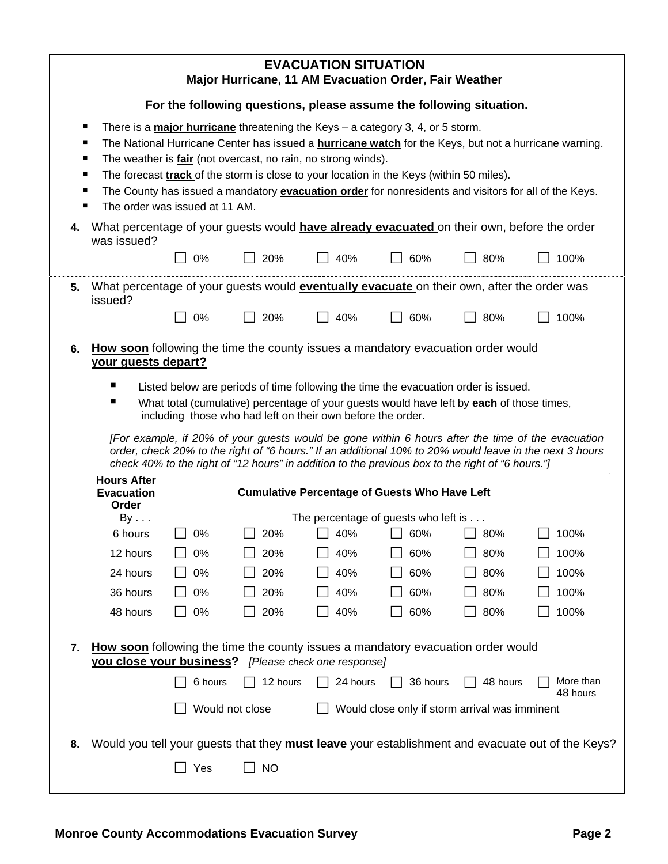|    | <b>EVACUATION SITUATION</b><br>Major Hurricane, 11 AM Evacuation Order, Fair Weather                                                                                                                                                                                                                                                                                                                                                                                                                                                  |         |                                                                                                                                                                                                                                                                                                                                                     |                                                      |          |                                                |                                                                                                                                                                                                              |  |  |
|----|---------------------------------------------------------------------------------------------------------------------------------------------------------------------------------------------------------------------------------------------------------------------------------------------------------------------------------------------------------------------------------------------------------------------------------------------------------------------------------------------------------------------------------------|---------|-----------------------------------------------------------------------------------------------------------------------------------------------------------------------------------------------------------------------------------------------------------------------------------------------------------------------------------------------------|------------------------------------------------------|----------|------------------------------------------------|--------------------------------------------------------------------------------------------------------------------------------------------------------------------------------------------------------------|--|--|
|    | For the following questions, please assume the following situation.                                                                                                                                                                                                                                                                                                                                                                                                                                                                   |         |                                                                                                                                                                                                                                                                                                                                                     |                                                      |          |                                                |                                                                                                                                                                                                              |  |  |
|    | There is a <b>major hurricane</b> threatening the Keys $-$ a category 3, 4, or 5 storm.<br>п<br>The National Hurricane Center has issued a <b>hurricane watch</b> for the Keys, but not a hurricane warning.<br>٠<br>The weather is fair (not overcast, no rain, no strong winds).<br>٠<br>The forecast <b>track</b> of the storm is close to your location in the Keys (within 50 miles).<br>The County has issued a mandatory evacuation order for nonresidents and visitors for all of the Keys.<br>The order was issued at 11 AM. |         |                                                                                                                                                                                                                                                                                                                                                     |                                                      |          |                                                |                                                                                                                                                                                                              |  |  |
| 4. | was issued?                                                                                                                                                                                                                                                                                                                                                                                                                                                                                                                           |         | What percentage of your guests would <b>have already evacuated</b> on their own, before the order                                                                                                                                                                                                                                                   |                                                      |          |                                                |                                                                                                                                                                                                              |  |  |
|    |                                                                                                                                                                                                                                                                                                                                                                                                                                                                                                                                       | 0%      | 20%                                                                                                                                                                                                                                                                                                                                                 | 40%                                                  | 60%      | 80%                                            | 100%                                                                                                                                                                                                         |  |  |
| 5. | issued?                                                                                                                                                                                                                                                                                                                                                                                                                                                                                                                               |         | What percentage of your guests would <b>eventually evacuate</b> on their own, after the order was                                                                                                                                                                                                                                                   |                                                      |          |                                                |                                                                                                                                                                                                              |  |  |
|    |                                                                                                                                                                                                                                                                                                                                                                                                                                                                                                                                       | 0%      | 20%                                                                                                                                                                                                                                                                                                                                                 | 40%                                                  | 60%      | 80%                                            | 100%                                                                                                                                                                                                         |  |  |
|    | your guests depart?<br><b>Hours After</b>                                                                                                                                                                                                                                                                                                                                                                                                                                                                                             |         | Listed below are periods of time following the time the evacuation order is issued.<br>What total (cumulative) percentage of your guests would have left by each of those times,<br>including those who had left on their own before the order.<br>check 40% to the right of "12 hours" in addition to the previous box to the right of "6 hours."] |                                                      |          |                                                | [For example, if 20% of your guests would be gone within 6 hours after the time of the evacuation<br>order, check 20% to the right of "6 hours." If an additional 10% to 20% would leave in the next 3 hours |  |  |
|    | <b>Evacuation</b>                                                                                                                                                                                                                                                                                                                                                                                                                                                                                                                     |         |                                                                                                                                                                                                                                                                                                                                                     | <b>Cumulative Percentage of Guests Who Have Left</b> |          |                                                |                                                                                                                                                                                                              |  |  |
|    | Order<br>By                                                                                                                                                                                                                                                                                                                                                                                                                                                                                                                           |         |                                                                                                                                                                                                                                                                                                                                                     | The percentage of guests who left is                 |          |                                                |                                                                                                                                                                                                              |  |  |
|    | 6 hours                                                                                                                                                                                                                                                                                                                                                                                                                                                                                                                               | 0%      | 20%                                                                                                                                                                                                                                                                                                                                                 | 40%                                                  | 60%      | 80%                                            | 100%                                                                                                                                                                                                         |  |  |
|    | 12 hours                                                                                                                                                                                                                                                                                                                                                                                                                                                                                                                              | 0%      | 20%                                                                                                                                                                                                                                                                                                                                                 | 40%                                                  | 60%      | 80%                                            | 100%                                                                                                                                                                                                         |  |  |
|    | 24 hours                                                                                                                                                                                                                                                                                                                                                                                                                                                                                                                              | 0%      | 20%                                                                                                                                                                                                                                                                                                                                                 | 40%                                                  | 60%      | 80%                                            | 100%                                                                                                                                                                                                         |  |  |
|    | 36 hours                                                                                                                                                                                                                                                                                                                                                                                                                                                                                                                              | 0%      | 20%                                                                                                                                                                                                                                                                                                                                                 | 40%                                                  | 60%      | 80%                                            | 100%                                                                                                                                                                                                         |  |  |
|    | 48 hours                                                                                                                                                                                                                                                                                                                                                                                                                                                                                                                              | 0%      | 20%                                                                                                                                                                                                                                                                                                                                                 | 40%                                                  | 60%      | 80%                                            | 100%                                                                                                                                                                                                         |  |  |
| 7. | How soon following the time the county issues a mandatory evacuation order would<br>you close your business? [Please check one response]                                                                                                                                                                                                                                                                                                                                                                                              |         |                                                                                                                                                                                                                                                                                                                                                     |                                                      |          |                                                |                                                                                                                                                                                                              |  |  |
|    |                                                                                                                                                                                                                                                                                                                                                                                                                                                                                                                                       | 6 hours | 12 hours                                                                                                                                                                                                                                                                                                                                            | 24 hours                                             | 36 hours | 48 hours                                       | More than<br>48 hours                                                                                                                                                                                        |  |  |
|    |                                                                                                                                                                                                                                                                                                                                                                                                                                                                                                                                       |         | Would not close                                                                                                                                                                                                                                                                                                                                     |                                                      |          | Would close only if storm arrival was imminent |                                                                                                                                                                                                              |  |  |
| 8. | Would you tell your guests that they must leave your establishment and evacuate out of the Keys?<br><b>NO</b><br>Yes                                                                                                                                                                                                                                                                                                                                                                                                                  |         |                                                                                                                                                                                                                                                                                                                                                     |                                                      |          |                                                |                                                                                                                                                                                                              |  |  |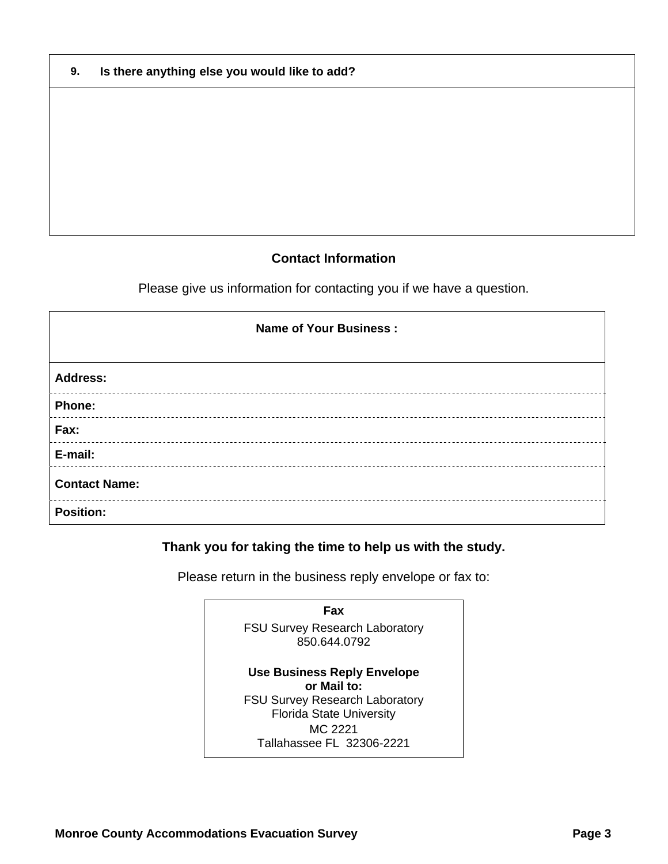| 9. |  |  | Is there anything else you would like to add? |  |
|----|--|--|-----------------------------------------------|--|
|----|--|--|-----------------------------------------------|--|

## **Contact Information**

Please give us information for contacting you if we have a question.

| <b>Name of Your Business:</b> |
|-------------------------------|
| <b>Address:</b>               |
| Phone:                        |
| Fax:                          |
| E-mail:                       |
| <b>Contact Name:</b>          |
| <b>Position:</b>              |

## **Thank you for taking the time to help us with the study.**

Please return in the business reply envelope or fax to:

**Fax**  FSU Survey Research Laboratory 850.644.0792 **Use Business Reply Envelope or Mail to:** FSU Survey Research Laboratory Florida State University MC 2221 Tallahassee FL 32306-2221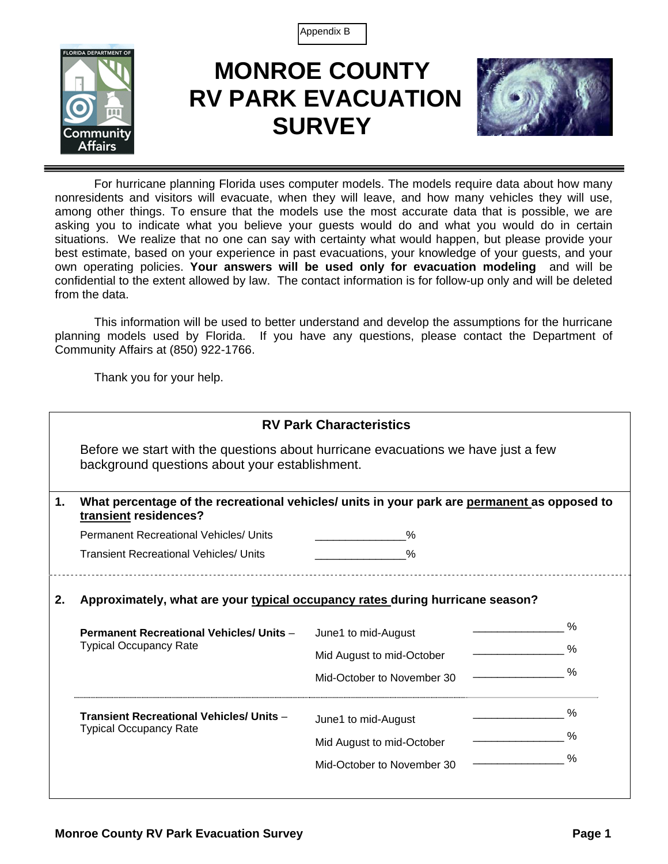Appendix B



# **MONROE COUNTY RV PARK EVACUATION SURVEY**



For hurricane planning Florida uses computer models. The models require data about how many nonresidents and visitors will evacuate, when they will leave, and how many vehicles they will use, among other things. To ensure that the models use the most accurate data that is possible, we are asking you to indicate what you believe your guests would do and what you would do in certain situations. We realize that no one can say with certainty what would happen, but please provide your best estimate, based on your experience in past evacuations, your knowledge of your guests, and your own operating policies. **Your answers will be used only for evacuation modeling** and will be confidential to the extent allowed by law. The contact information is for follow-up only and will be deleted from the data.

This information will be used to better understand and develop the assumptions for the hurricane planning models used by Florida. If you have any questions, please contact the Department of Community Affairs at (850) 922-1766.

Thank you for your help.

| <b>RV Park Characteristics</b>                                                                                                      |                                                                                                                                                                                                      |                                                                               |  |  |  |  |  |  |  |
|-------------------------------------------------------------------------------------------------------------------------------------|------------------------------------------------------------------------------------------------------------------------------------------------------------------------------------------------------|-------------------------------------------------------------------------------|--|--|--|--|--|--|--|
| Before we start with the questions about hurricane evacuations we have just a few<br>background questions about your establishment. |                                                                                                                                                                                                      |                                                                               |  |  |  |  |  |  |  |
| What percentage of the recreational vehicles/ units in your park are permanent as opposed to<br>transient residences?               |                                                                                                                                                                                                      |                                                                               |  |  |  |  |  |  |  |
|                                                                                                                                     | $\%$                                                                                                                                                                                                 |                                                                               |  |  |  |  |  |  |  |
|                                                                                                                                     | $\%$                                                                                                                                                                                                 |                                                                               |  |  |  |  |  |  |  |
|                                                                                                                                     | June1 to mid-August<br>Mid August to mid-October<br>Mid-October to November 30<br>June1 to mid-August<br>Mid August to mid-October<br>Mid-October to November 30                                     | $\%$<br>%<br>$\%$<br>$\%$<br>$\%$<br>$\%$                                     |  |  |  |  |  |  |  |
|                                                                                                                                     | <b>Permanent Recreational Vehicles/ Units</b><br><b>Transient Recreational Vehicles/ Units</b><br><b>Permanent Recreational Vehicles/ Units -</b><br><b>Transient Recreational Vehicles/ Units -</b> | Approximately, what are your typical occupancy rates during hurricane season? |  |  |  |  |  |  |  |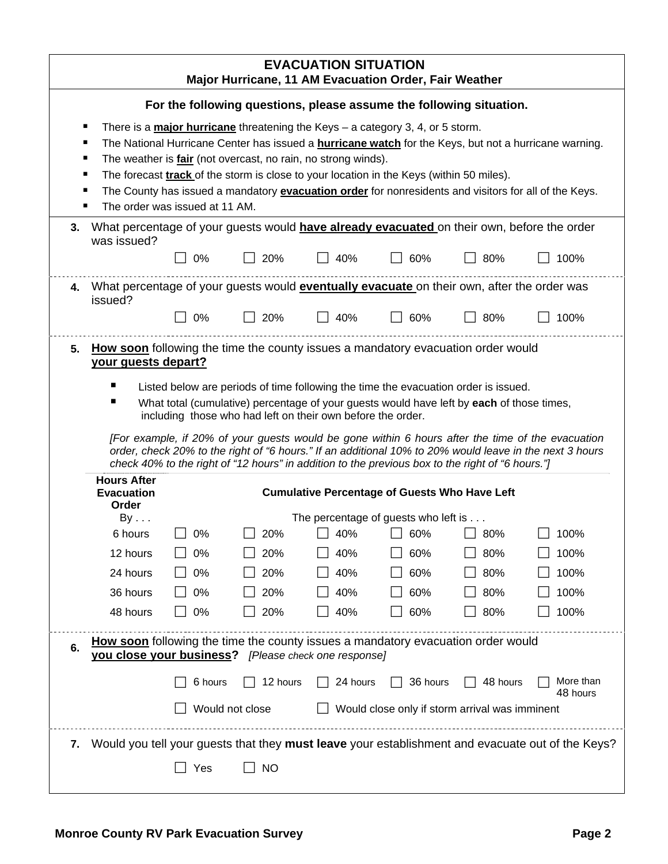|    | <b>EVACUATION SITUATION</b><br>Major Hurricane, 11 AM Evacuation Order, Fair Weather                                                                                                                                                                                                                                                                                                                                                                                                                                                                                                       |          |                                                                                                   |            |                                                      |            |                                                                                                  |  |  |
|----|--------------------------------------------------------------------------------------------------------------------------------------------------------------------------------------------------------------------------------------------------------------------------------------------------------------------------------------------------------------------------------------------------------------------------------------------------------------------------------------------------------------------------------------------------------------------------------------------|----------|---------------------------------------------------------------------------------------------------|------------|------------------------------------------------------|------------|--------------------------------------------------------------------------------------------------|--|--|
|    | For the following questions, please assume the following situation.                                                                                                                                                                                                                                                                                                                                                                                                                                                                                                                        |          |                                                                                                   |            |                                                      |            |                                                                                                  |  |  |
|    | There is a <b>major hurricane</b> threatening the Keys $-$ a category 3, 4, or 5 storm.<br>п<br>The National Hurricane Center has issued a <b>hurricane watch</b> for the Keys, but not a hurricane warning.<br>The weather is <b>fair</b> (not overcast, no rain, no strong winds).<br>The forecast <b>track</b> of the storm is close to your location in the Keys (within 50 miles).<br>The County has issued a mandatory evacuation order for nonresidents and visitors for all of the Keys.<br>The order was issued at 11 AM.                                                         |          |                                                                                                   |            |                                                      |            |                                                                                                  |  |  |
| 3. | was issued?                                                                                                                                                                                                                                                                                                                                                                                                                                                                                                                                                                                |          | What percentage of your guests would <b>have already evacuated</b> on their own, before the order |            |                                                      |            |                                                                                                  |  |  |
|    |                                                                                                                                                                                                                                                                                                                                                                                                                                                                                                                                                                                            | 0%       | 20%                                                                                               | 40%        | 60%                                                  | 80%        | 100%                                                                                             |  |  |
| 4. | What percentage of your guests would <b>eventually evacuate</b> on their own, after the order was                                                                                                                                                                                                                                                                                                                                                                                                                                                                                          |          |                                                                                                   |            |                                                      |            |                                                                                                  |  |  |
|    | issued?                                                                                                                                                                                                                                                                                                                                                                                                                                                                                                                                                                                    | 0%       | 20%                                                                                               | 40%        | 60%                                                  | 80%        | 100%                                                                                             |  |  |
|    | your guests depart?<br>Listed below are periods of time following the time the evacuation order is issued.<br>What total (cumulative) percentage of your guests would have left by each of those times,<br>including those who had left on their own before the order.<br>[For example, if 20% of your guests would be gone within 6 hours after the time of the evacuation<br>order, check 20% to the right of "6 hours." If an additional 10% to 20% would leave in the next 3 hours<br>check 40% to the right of "12 hours" in addition to the previous box to the right of "6 hours."] |          |                                                                                                   |            |                                                      |            |                                                                                                  |  |  |
|    | <b>Evacuation</b><br>Order                                                                                                                                                                                                                                                                                                                                                                                                                                                                                                                                                                 |          |                                                                                                   |            | <b>Cumulative Percentage of Guests Who Have Left</b> |            |                                                                                                  |  |  |
|    | By                                                                                                                                                                                                                                                                                                                                                                                                                                                                                                                                                                                         |          |                                                                                                   |            | The percentage of guests who left is                 |            |                                                                                                  |  |  |
|    | 6 hours                                                                                                                                                                                                                                                                                                                                                                                                                                                                                                                                                                                    | 0%       | 20%                                                                                               | 40%        | 60%                                                  | 80%        | 100%                                                                                             |  |  |
|    | 12 hours                                                                                                                                                                                                                                                                                                                                                                                                                                                                                                                                                                                   | 0%       | 20%                                                                                               | 40%        | 60%                                                  | 80%        | 100%                                                                                             |  |  |
|    | 24 hours<br>36 hours                                                                                                                                                                                                                                                                                                                                                                                                                                                                                                                                                                       | 0%<br>0% | 20%<br>20%                                                                                        | 40%<br>40% | 60%<br>60%                                           | 80%        | 100%<br>100%                                                                                     |  |  |
|    | 48 hours                                                                                                                                                                                                                                                                                                                                                                                                                                                                                                                                                                                   | 0%       | 20%                                                                                               | 40%        | 60%                                                  | 80%<br>80% | 100%                                                                                             |  |  |
|    |                                                                                                                                                                                                                                                                                                                                                                                                                                                                                                                                                                                            |          |                                                                                                   |            |                                                      |            |                                                                                                  |  |  |
| 6. | <b>How soon</b> following the time the county issues a mandatory evacuation order would<br>you close your business? [Please check one response]                                                                                                                                                                                                                                                                                                                                                                                                                                            |          |                                                                                                   |            |                                                      |            |                                                                                                  |  |  |
|    |                                                                                                                                                                                                                                                                                                                                                                                                                                                                                                                                                                                            | 6 hours  | 12 hours                                                                                          | 24 hours   | 36 hours                                             | 48 hours   | More than<br>48 hours                                                                            |  |  |
|    | Would not close<br>Would close only if storm arrival was imminent                                                                                                                                                                                                                                                                                                                                                                                                                                                                                                                          |          |                                                                                                   |            |                                                      |            |                                                                                                  |  |  |
| 7. |                                                                                                                                                                                                                                                                                                                                                                                                                                                                                                                                                                                            | Yes      | <b>NO</b>                                                                                         |            |                                                      |            | Would you tell your guests that they must leave your establishment and evacuate out of the Keys? |  |  |
|    |                                                                                                                                                                                                                                                                                                                                                                                                                                                                                                                                                                                            |          |                                                                                                   |            |                                                      |            |                                                                                                  |  |  |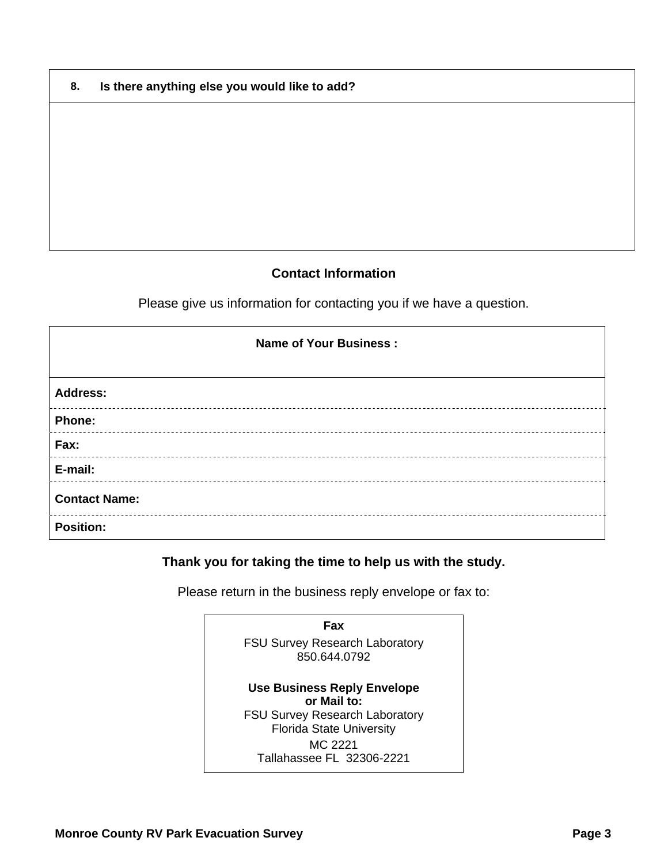| 8. | Is there anything else you would like to add? |
|----|-----------------------------------------------|
|----|-----------------------------------------------|

## **Contact Information**

Please give us information for contacting you if we have a question.

| <b>Name of Your Business:</b> |
|-------------------------------|
| <b>Address:</b>               |
| Phone:                        |
| Fax:                          |
| E-mail:                       |
| <b>Contact Name:</b>          |
| <b>Position:</b>              |

## **Thank you for taking the time to help us with the study.**

Please return in the business reply envelope or fax to:

**Fax**  FSU Survey Research Laboratory 850.644.0792 **Use Business Reply Envelope or Mail to:** FSU Survey Research Laboratory Florida State University MC 2221 Tallahassee FL 32306-2221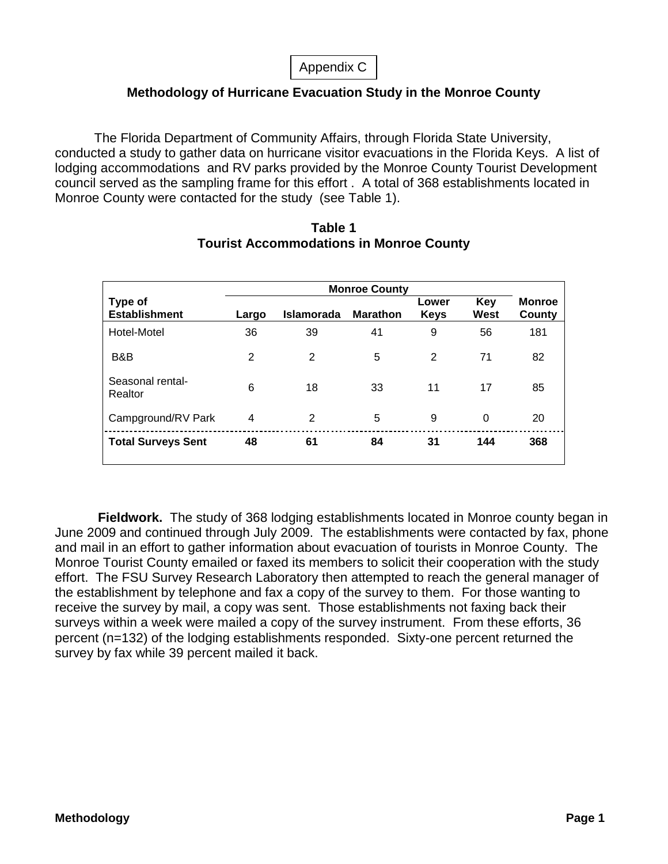## **Methodology of Hurricane Evacuation Study in the Monroe County**

The Florida Department of Community Affairs, through Florida State University, conducted a study to gather data on hurricane visitor evacuations in the Florida Keys. A list of lodging accommodations and RV parks provided by the Monroe County Tourist Development council served as the sampling frame for this effort . A total of 368 establishments located in Monroe County were contacted for the study (see Table 1).

| Type of<br><b>Establishment</b> | Largo | <b>Islamorada</b> | <b>Marathon</b> | Lower<br><b>Keys</b> | Key<br>West | <b>Monroe</b><br>County |
|---------------------------------|-------|-------------------|-----------------|----------------------|-------------|-------------------------|
| Hotel-Motel                     | 36    | 39                | 41              | 9                    | 56          | 181                     |
| B&B                             | 2     | $\overline{2}$    | 5               | 2                    | 71          | 82                      |
| Seasonal rental-<br>Realtor     | 6     | 18                | 33              | 11                   | 17          | 85                      |
| Campground/RV Park              | 4     | 2                 | 5               | 9                    | 0           | 20                      |
| <b>Total Surveys Sent</b>       | 48    | 61                | 84              | 31                   | 144         | 368                     |

## **Table 1 Tourist Accommodations in Monroe County**

**Fieldwork.** The study of 368 lodging establishments located in Monroe county began in June 2009 and continued through July 2009. The establishments were contacted by fax, phone and mail in an effort to gather information about evacuation of tourists in Monroe County. The Monroe Tourist County emailed or faxed its members to solicit their cooperation with the study effort. The FSU Survey Research Laboratory then attempted to reach the general manager of the establishment by telephone and fax a copy of the survey to them. For those wanting to receive the survey by mail, a copy was sent. Those establishments not faxing back their surveys within a week were mailed a copy of the survey instrument. From these efforts, 36 percent (n=132) of the lodging establishments responded. Sixty-one percent returned the survey by fax while 39 percent mailed it back.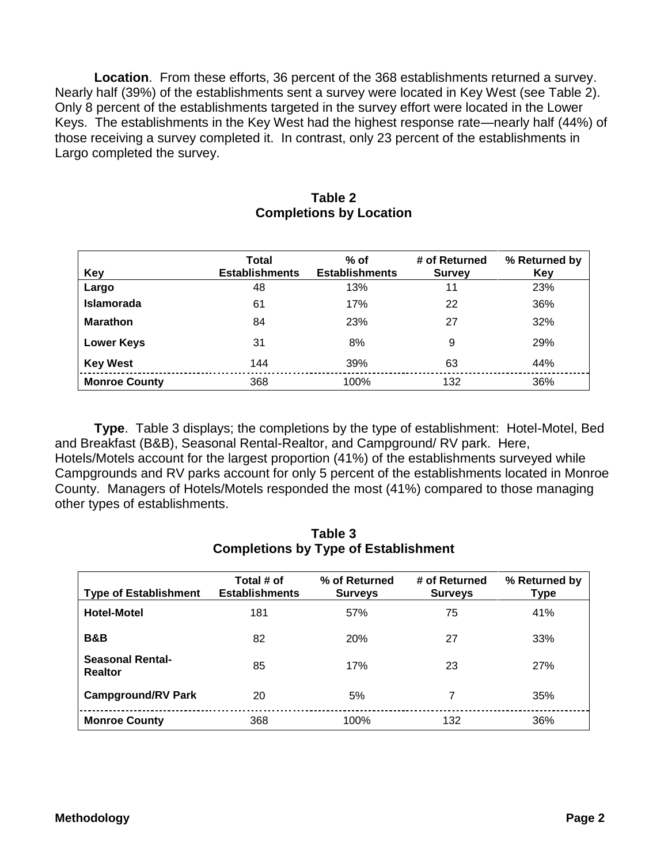**Location**. From these efforts, 36 percent of the 368 establishments returned a survey. Nearly half (39%) of the establishments sent a survey were located in Key West (see Table 2). Only 8 percent of the establishments targeted in the survey effort were located in the Lower Keys. The establishments in the Key West had the highest response rate—nearly half (44%) of those receiving a survey completed it. In contrast, only 23 percent of the establishments in Largo completed the survey.

| Key                  | <b>Total</b><br><b>Establishments</b> | $%$ of<br><b>Establishments</b> | # of Returned<br><b>Survey</b> | % Returned by<br>Key |
|----------------------|---------------------------------------|---------------------------------|--------------------------------|----------------------|
| Largo                | 48                                    | 13%                             | 11                             | 23%                  |
| <b>Islamorada</b>    | 61                                    | 17%                             | 22                             | 36%                  |
| <b>Marathon</b>      | 84                                    | 23%                             | 27                             | 32%                  |
| <b>Lower Keys</b>    | 31                                    | 8%                              | 9                              | 29%                  |
| <b>Key West</b>      | 144                                   | 39%                             | 63                             | 44%                  |
| <b>Monroe County</b> | 368                                   | 100%                            | 132                            | 36%                  |

#### **Table 2 Completions by Location**

**Type**. Table 3 displays; the completions by the type of establishment: Hotel-Motel, Bed and Breakfast (B&B), Seasonal Rental-Realtor, and Campground/ RV park. Here, Hotels/Motels account for the largest proportion (41%) of the establishments surveyed while Campgrounds and RV parks account for only 5 percent of the establishments located in Monroe County. Managers of Hotels/Motels responded the most (41%) compared to those managing other types of establishments.

| <b>Type of Establishment</b>              | Total # of<br><b>Establishments</b> | % of Returned<br><b>Surveys</b> | # of Returned<br><b>Surveys</b> | % Returned by<br>Type |
|-------------------------------------------|-------------------------------------|---------------------------------|---------------------------------|-----------------------|
| <b>Hotel-Motel</b>                        | 181                                 | 57%                             | 75                              | 41%                   |
| <b>B&amp;B</b>                            | 82                                  | <b>20%</b>                      | 27                              | 33%                   |
| <b>Seasonal Rental-</b><br><b>Realtor</b> | 85                                  | 17%                             | 23                              | 27%                   |
| <b>Campground/RV Park</b>                 | 20                                  | 5%                              | 7                               | 35%                   |
| <b>Monroe County</b>                      | 368                                 | 100%                            | 132                             | 36%                   |

## **Table 3 Completions by Type of Establishment**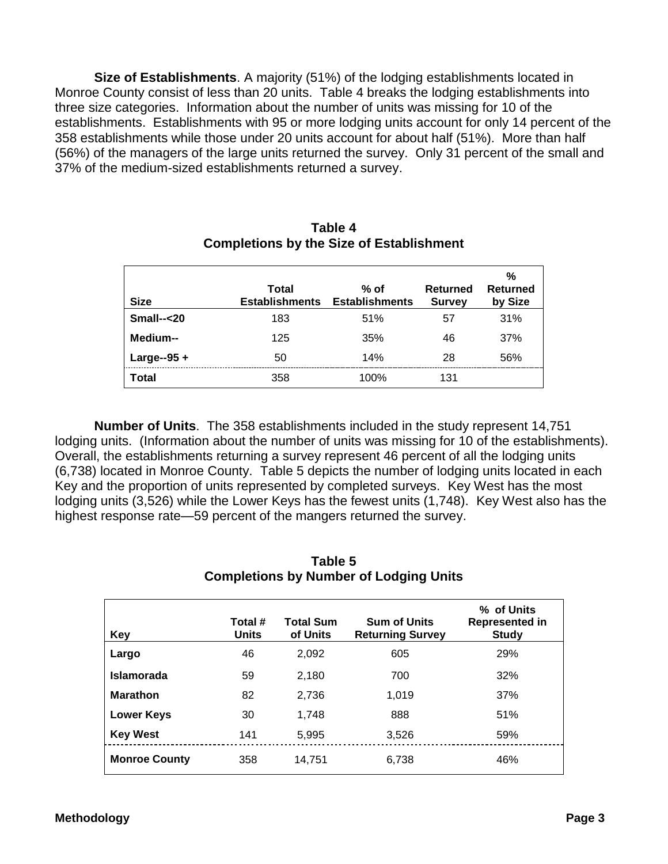**Size of Establishments**. A majority (51%) of the lodging establishments located in Monroe County consist of less than 20 units. Table 4 breaks the lodging establishments into three size categories. Information about the number of units was missing for 10 of the establishments. Establishments with 95 or more lodging units account for only 14 percent of the 358 establishments while those under 20 units account for about half (51%). More than half (56%) of the managers of the large units returned the survey. Only 31 percent of the small and 37% of the medium-sized establishments returned a survey.

| <b>Size</b>   | Total<br><b>Establishments</b> | % of<br><b>Establishments</b> | Returned<br><b>Survey</b> | %<br><b>Returned</b><br>by Size |
|---------------|--------------------------------|-------------------------------|---------------------------|---------------------------------|
| $Small--20$   | 183                            | 51%                           | 57                        | 31%                             |
| Medium--      | 125                            | 35%                           | 46                        | 37%                             |
| Large--95 $+$ | 50                             | 14%                           | 28                        | 56%                             |
| Total         | 358                            | 100%                          | 131                       |                                 |

## **Table 4 Completions by the Size of Establishment**

**Number of Units**. The 358 establishments included in the study represent 14,751 lodging units. (Information about the number of units was missing for 10 of the establishments). Overall, the establishments returning a survey represent 46 percent of all the lodging units (6,738) located in Monroe County. Table 5 depicts the number of lodging units located in each Key and the proportion of units represented by completed surveys. Key West has the most lodging units (3,526) while the Lower Keys has the fewest units (1,748). Key West also has the highest response rate—59 percent of the mangers returned the survey.

| <b>Completions by Number of Lodging Units</b> |                         |                              |                                                |                                              |  |
|-----------------------------------------------|-------------------------|------------------------------|------------------------------------------------|----------------------------------------------|--|
| Key                                           | Total #<br><b>Units</b> | <b>Total Sum</b><br>of Units | <b>Sum of Units</b><br><b>Returning Survey</b> | % of Units<br>Represented in<br><b>Study</b> |  |
| Largo                                         | 46                      | 2,092                        | 605                                            | 29%                                          |  |
| <b>Islamorada</b>                             | 59                      | 2,180                        | 700                                            | 32%                                          |  |
| <b>Marathon</b>                               | 82                      | 2,736                        | 1,019                                          | 37%                                          |  |
| <b>Lower Keys</b>                             | 30                      | 1.748                        | 888                                            | 51%                                          |  |
| <b>Key West</b>                               | 141                     | 5,995                        | 3,526                                          | 59%                                          |  |
| <b>Monroe County</b>                          | 358                     | 14.751                       | 6,738                                          | 46%                                          |  |

## **Table 5 Completions by Number of Lodging Units**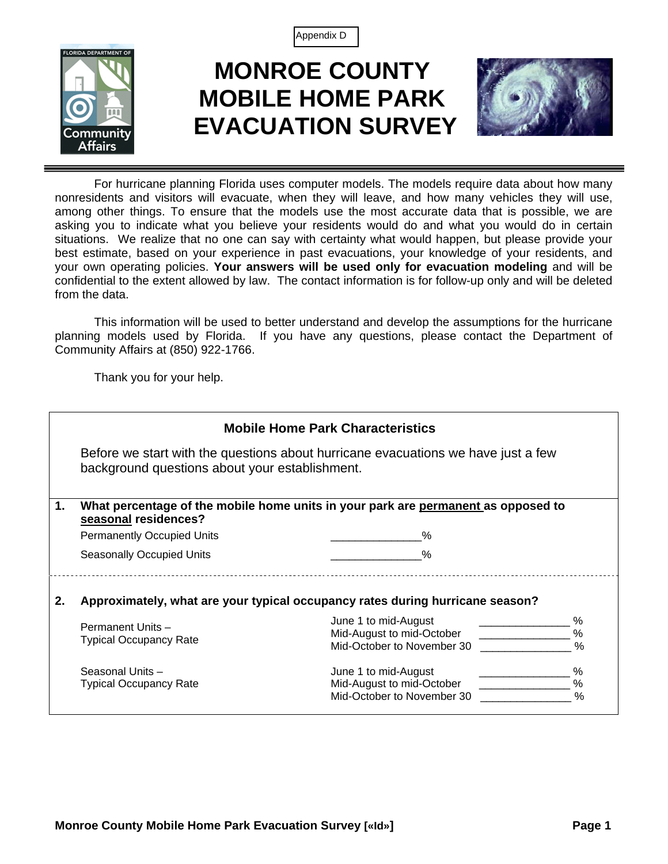Appendix D



# **MONROE COUNTY MOBILE HOME PARK EVACUATION SURVEY**



For hurricane planning Florida uses computer models. The models require data about how many nonresidents and visitors will evacuate, when they will leave, and how many vehicles they will use, among other things. To ensure that the models use the most accurate data that is possible, we are asking you to indicate what you believe your residents would do and what you would do in certain situations. We realize that no one can say with certainty what would happen, but please provide your best estimate, based on your experience in past evacuations, your knowledge of your residents, and your own operating policies. **Your answers will be used only for evacuation modeling** and will be confidential to the extent allowed by law. The contact information is for follow-up only and will be deleted from the data.

This information will be used to better understand and develop the assumptions for the hurricane planning models used by Florida. If you have any questions, please contact the Department of Community Affairs at (850) 922-1766.

Thank you for your help.

|    |                                                                                                                                     | <b>Mobile Home Park Characteristics</b>                                           |                            |  |  |  |
|----|-------------------------------------------------------------------------------------------------------------------------------------|-----------------------------------------------------------------------------------|----------------------------|--|--|--|
|    | Before we start with the questions about hurricane evacuations we have just a few<br>background questions about your establishment. |                                                                                   |                            |  |  |  |
| 1. | seasonal residences?                                                                                                                | What percentage of the mobile home units in your park are permanent as opposed to |                            |  |  |  |
|    | <b>Permanently Occupied Units</b>                                                                                                   | %                                                                                 |                            |  |  |  |
|    | <b>Seasonally Occupied Units</b>                                                                                                    |                                                                                   |                            |  |  |  |
| 2. |                                                                                                                                     | Approximately, what are your typical occupancy rates during hurricane season?     |                            |  |  |  |
|    | Permanent Units -<br><b>Typical Occupancy Rate</b>                                                                                  | June 1 to mid-August<br>Mid-August to mid-October<br>Mid-October to November 30   | ℅<br>$\%$<br>$\%$          |  |  |  |
|    | Seasonal Units-<br><b>Typical Occupancy Rate</b>                                                                                    | June 1 to mid-August<br>Mid-August to mid-October<br>Mid-October to November 30   | %<br>$\%$<br>$\frac{0}{0}$ |  |  |  |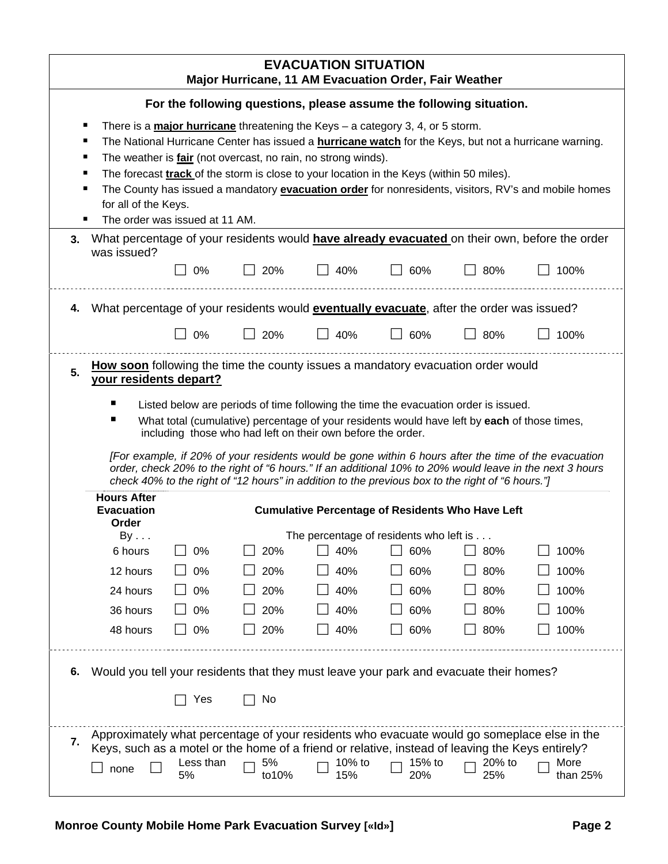|    | <b>EVACUATION SITUATION</b><br>Major Hurricane, 11 AM Evacuation Order, Fair Weather                                                                                                                                                                                                                                                                                    |                 |                                                                      |               |                                                                                                  |               |                                                                                                                                                                                                                 |
|----|-------------------------------------------------------------------------------------------------------------------------------------------------------------------------------------------------------------------------------------------------------------------------------------------------------------------------------------------------------------------------|-----------------|----------------------------------------------------------------------|---------------|--------------------------------------------------------------------------------------------------|---------------|-----------------------------------------------------------------------------------------------------------------------------------------------------------------------------------------------------------------|
|    | For the following questions, please assume the following situation.                                                                                                                                                                                                                                                                                                     |                 |                                                                      |               |                                                                                                  |               |                                                                                                                                                                                                                 |
|    |                                                                                                                                                                                                                                                                                                                                                                         |                 |                                                                      |               | There is a <b>major hurricane</b> threatening the Keys $-$ a category 3, 4, or 5 storm.          |               |                                                                                                                                                                                                                 |
|    | п                                                                                                                                                                                                                                                                                                                                                                       |                 |                                                                      |               |                                                                                                  |               | The National Hurricane Center has issued a <b>hurricane watch</b> for the Keys, but not a hurricane warning.                                                                                                    |
|    | п                                                                                                                                                                                                                                                                                                                                                                       |                 | The weather is <i>fair</i> (not overcast, no rain, no strong winds). |               | The forecast track of the storm is close to your location in the Keys (within 50 miles).         |               |                                                                                                                                                                                                                 |
|    | ٠                                                                                                                                                                                                                                                                                                                                                                       |                 |                                                                      |               |                                                                                                  |               | The County has issued a mandatory evacuation order for nonresidents, visitors, RV's and mobile homes                                                                                                            |
|    | for all of the Keys.                                                                                                                                                                                                                                                                                                                                                    |                 |                                                                      |               |                                                                                                  |               |                                                                                                                                                                                                                 |
|    | The order was issued at 11 AM.                                                                                                                                                                                                                                                                                                                                          |                 |                                                                      |               |                                                                                                  |               |                                                                                                                                                                                                                 |
| 3. | was issued?                                                                                                                                                                                                                                                                                                                                                             |                 |                                                                      |               |                                                                                                  |               | What percentage of your residents would have already evacuated on their own, before the order                                                                                                                   |
|    |                                                                                                                                                                                                                                                                                                                                                                         | $\Box$ 0%       | 20%                                                                  | 40%           | 60%                                                                                              | $\perp$ 80%   | 100%                                                                                                                                                                                                            |
| 4. | What percentage of your residents would <b>eventually evacuate</b> , after the order was issued?                                                                                                                                                                                                                                                                        |                 |                                                                      |               |                                                                                                  |               |                                                                                                                                                                                                                 |
|    |                                                                                                                                                                                                                                                                                                                                                                         | 0%              | 20%                                                                  | 40%           | 60%                                                                                              | 80%           | 100%                                                                                                                                                                                                            |
| 5. | <b>How soon</b> following the time the county issues a mandatory evacuation order would<br>your residents depart?<br>Listed below are periods of time following the time the evacuation order is issued.<br>What total (cumulative) percentage of your residents would have left by each of those times,<br>including those who had left on their own before the order. |                 |                                                                      |               |                                                                                                  |               |                                                                                                                                                                                                                 |
|    |                                                                                                                                                                                                                                                                                                                                                                         |                 |                                                                      |               | check 40% to the right of "12 hours" in addition to the previous box to the right of "6 hours."] |               | [For example, if 20% of your residents would be gone within 6 hours after the time of the evacuation<br>order, check 20% to the right of "6 hours." If an additional 10% to 20% would leave in the next 3 hours |
|    | <b>Hours After</b><br><b>Evacuation</b><br>Order                                                                                                                                                                                                                                                                                                                        |                 |                                                                      |               | <b>Cumulative Percentage of Residents Who Have Left</b>                                          |               |                                                                                                                                                                                                                 |
|    | By                                                                                                                                                                                                                                                                                                                                                                      |                 |                                                                      |               | The percentage of residents who left is $\dots$                                                  |               |                                                                                                                                                                                                                 |
|    | 6 hours                                                                                                                                                                                                                                                                                                                                                                 | 0%              | 20%                                                                  | 40%           | 60%                                                                                              | 80%           | 100%                                                                                                                                                                                                            |
|    | 12 hours                                                                                                                                                                                                                                                                                                                                                                | 0%              | 20%                                                                  | 40%           | 60%                                                                                              | 80%           | 100%                                                                                                                                                                                                            |
|    | 24 hours                                                                                                                                                                                                                                                                                                                                                                | 0%              | 20%                                                                  | 40%           | 60%                                                                                              | 80%           | 100%                                                                                                                                                                                                            |
|    | 36 hours                                                                                                                                                                                                                                                                                                                                                                | 0%              | 20%                                                                  | 40%           | 60%                                                                                              | 80%           | 100%                                                                                                                                                                                                            |
|    | 48 hours                                                                                                                                                                                                                                                                                                                                                                | 0%              | 20%                                                                  | 40%           | 60%                                                                                              | 80%           | 100%                                                                                                                                                                                                            |
| 6. | Would you tell your residents that they must leave your park and evacuate their homes?                                                                                                                                                                                                                                                                                  |                 |                                                                      |               |                                                                                                  |               |                                                                                                                                                                                                                 |
|    |                                                                                                                                                                                                                                                                                                                                                                         | Yes             | No                                                                   |               |                                                                                                  |               |                                                                                                                                                                                                                 |
| 7. | Keys, such as a motel or the home of a friend or relative, instead of leaving the Keys entirely?<br>none                                                                                                                                                                                                                                                                | Less than<br>5% | 5%<br>to10%                                                          | 10% to<br>15% | 15% to<br>20%                                                                                    | 20% to<br>25% | Approximately what percentage of your residents who evacuate would go someplace else in the<br>More<br>than 25%                                                                                                 |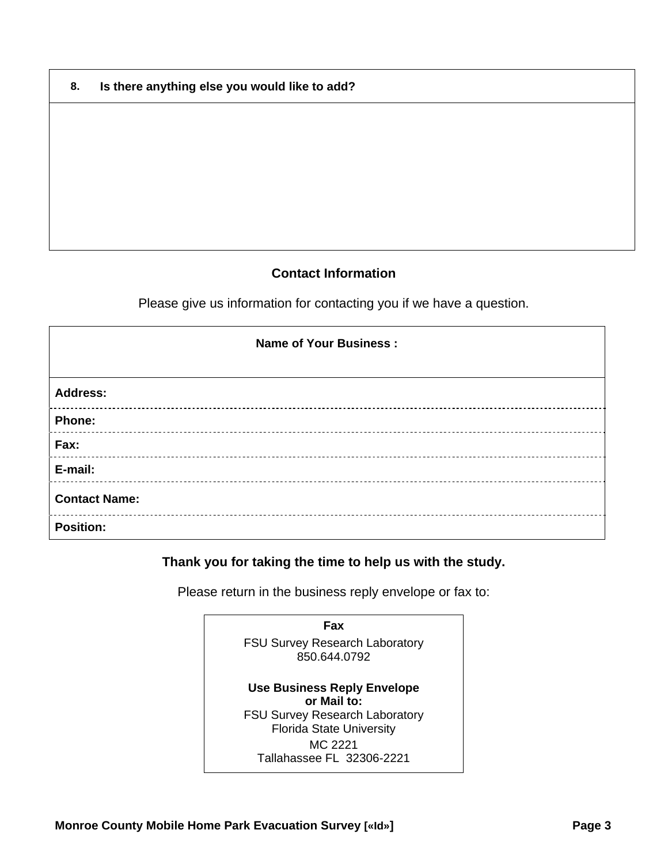| 8. | Is there anything else you would like to add? |
|----|-----------------------------------------------|
|----|-----------------------------------------------|

## **Contact Information**

Please give us information for contacting you if we have a question.

| <b>Name of Your Business:</b> |
|-------------------------------|
| <b>Address:</b>               |
| Phone:                        |
| Fax:                          |
| E-mail:                       |
| <b>Contact Name:</b>          |
| <b>Position:</b>              |

## **Thank you for taking the time to help us with the study.**

Please return in the business reply envelope or fax to:

**Fax**  FSU Survey Research Laboratory 850.644.0792 **Use Business Reply Envelope or Mail to:** FSU Survey Research Laboratory Florida State University MC 2221 Tallahassee FL 32306-2221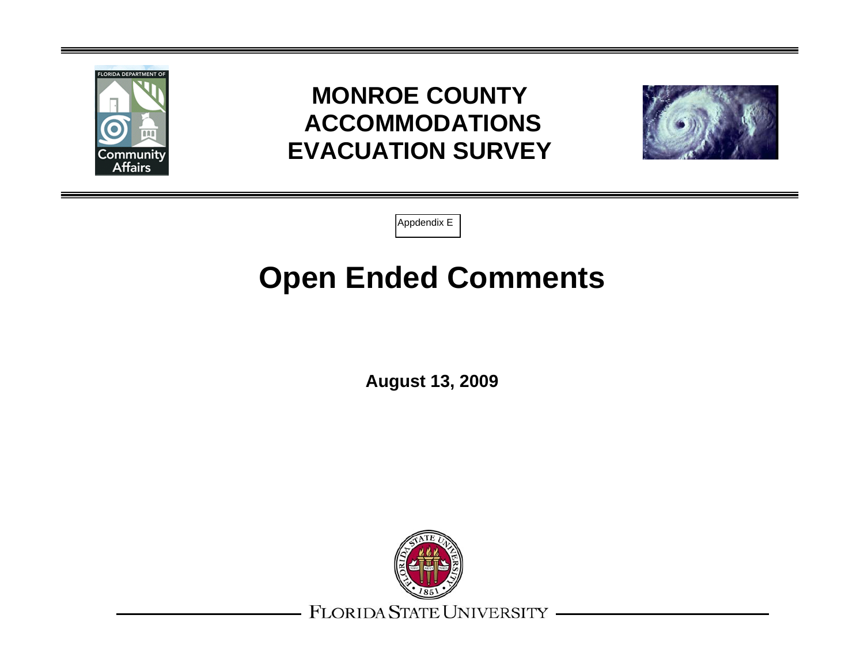

# **MONROE COUNTY ACCOMMODATIONS EVACUATION SURVEY**



Appdendix <sup>E</sup>

# **Open Ended Comments**

**August 13, 2009** 



FLORIDA STATE UNIVERSITY -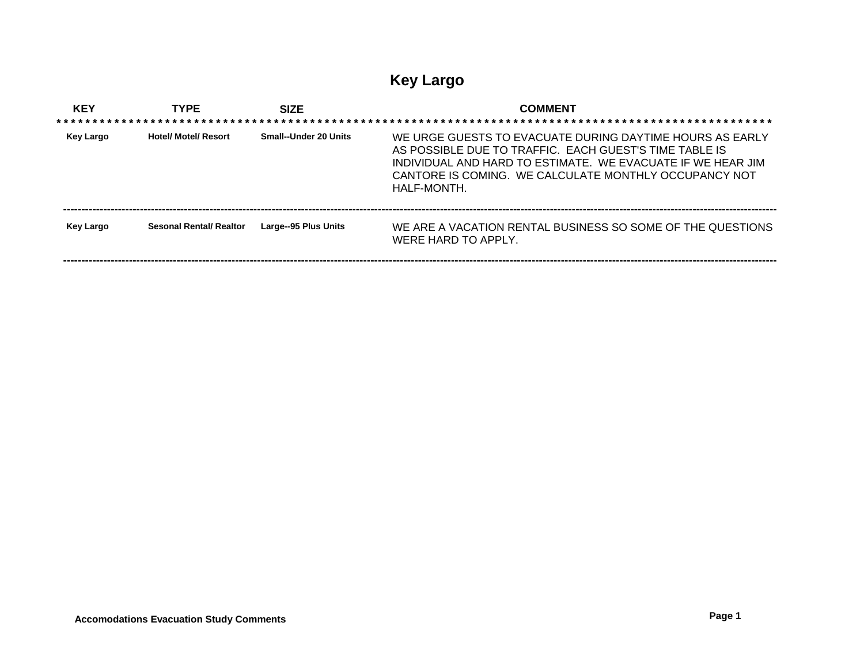## **Key Largo**

| <b>KEY</b> | <b>TYPE</b>                    | <b>SIZE</b>           | <b>COMMENT</b>                                                                                                                                                                                                                                                   |
|------------|--------------------------------|-----------------------|------------------------------------------------------------------------------------------------------------------------------------------------------------------------------------------------------------------------------------------------------------------|
| Key Largo  | <b>Hotel/ Motel/ Resort</b>    | Small--Under 20 Units | WE URGE GUESTS TO EVACUATE DURING DAYTIME HOURS AS EARLY<br>AS POSSIBLE DUE TO TRAFFIC. EACH GUEST'S TIME TABLE IS<br>INDIVIDUAL AND HARD TO ESTIMATE. WE EVACUATE IF WE HEAR JIM<br>CANTORE IS COMING. WE CALCULATE MONTHLY OCCUPANCY NOT<br><b>HAI F-MONTH</b> |
| Key Largo  | <b>Sesonal Rental/ Realtor</b> | Large--95 Plus Units  | WE ARE A VACATION RENTAL BUSINESS SO SOME OF THE QUESTIONS<br>WERE HARD TO APPLY.                                                                                                                                                                                |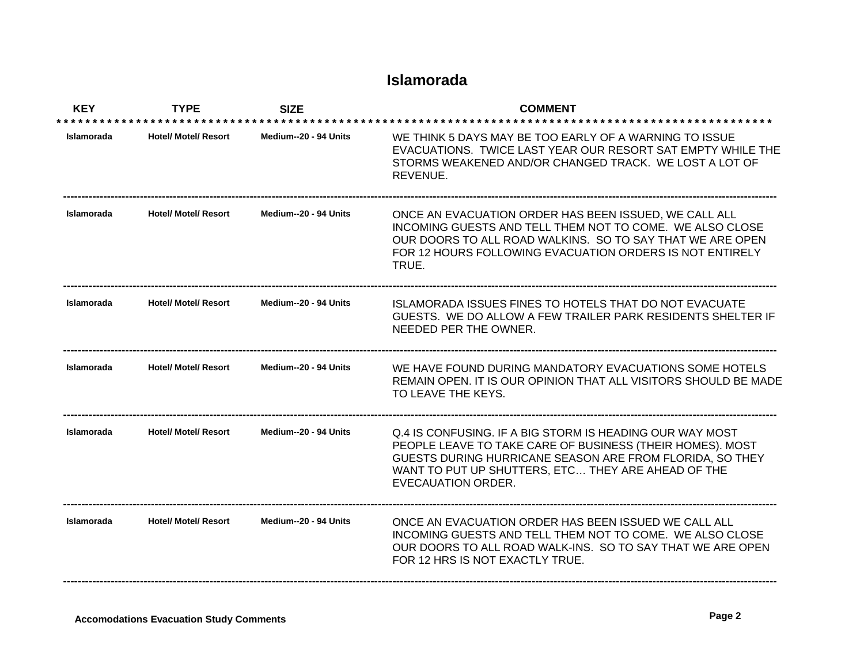## **Islamorada**

| <b>KEY</b>        | <b>TYPE</b>                 | <b>SIZE</b>           | <b>COMMENT</b>                                                                                                                                                                                                                                                |
|-------------------|-----------------------------|-----------------------|---------------------------------------------------------------------------------------------------------------------------------------------------------------------------------------------------------------------------------------------------------------|
| Islamorada        | <b>Hotel/ Motel/ Resort</b> | Medium--20 - 94 Units | WE THINK 5 DAYS MAY BE TOO FARLY OF A WARNING TO ISSUE<br>EVACUATIONS. TWICE LAST YEAR OUR RESORT SAT EMPTY WHILE THE<br>STORMS WEAKENED AND/OR CHANGED TRACK. WE LOST A LOT OF<br>REVENUE.                                                                   |
| Islamorada        | <b>Hotel/ Motel/ Resort</b> | Medium--20 - 94 Units | ONCE AN EVACUATION ORDER HAS BEEN ISSUED, WE CALL ALL<br>INCOMING GUESTS AND TELL THEM NOT TO COME. WE ALSO CLOSE<br>OUR DOORS TO ALL ROAD WALKINS. SO TO SAY THAT WE ARE OPEN<br>FOR 12 HOURS FOLLOWING EVACUATION ORDERS IS NOT ENTIRELY<br>TRUE.           |
| Islamorada        | <b>Hotel/ Motel/ Resort</b> | Medium--20 - 94 Units | <b>ISLAMORADA ISSUES FINES TO HOTELS THAT DO NOT EVACUATE</b><br>GUESTS. WE DO ALLOW A FEW TRAILER PARK RESIDENTS SHELTER IF<br>NEEDED PER THE OWNER.                                                                                                         |
| <b>Islamorada</b> | <b>Hotel/ Motel/ Resort</b> | Medium--20 - 94 Units | WE HAVE FOUND DURING MANDATORY EVACUATIONS SOME HOTELS<br>REMAIN OPEN. IT IS OUR OPINION THAT ALL VISITORS SHOULD BE MADE<br>TO LEAVE THE KEYS.                                                                                                               |
| <b>Islamorada</b> | <b>Hotel/ Motel/ Resort</b> | Medium--20 - 94 Units | Q.4 IS CONFUSING. IF A BIG STORM IS HEADING OUR WAY MOST<br>PEOPLE LEAVE TO TAKE CARE OF BUSINESS (THEIR HOMES). MOST<br>GUESTS DURING HURRICANE SEASON ARE FROM FLORIDA, SO THEY<br>WANT TO PUT UP SHUTTERS, ETC THEY ARE AHEAD OF THE<br>EVECAUATION ORDER. |
| Islamorada        | <b>Hotel/ Motel/ Resort</b> | Medium--20 - 94 Units | ONCE AN EVACUATION ORDER HAS BEEN ISSUED WE CALL ALL<br>INCOMING GUESTS AND TELL THEM NOT TO COME. WE ALSO CLOSE<br>OUR DOORS TO ALL ROAD WALK-INS. SO TO SAY THAT WE ARE OPEN<br>FOR 12 HRS IS NOT EXACTLY TRUE.                                             |

**---------------------------------------------------------------------------------------------------------------------------------------------------------------------------------------------------**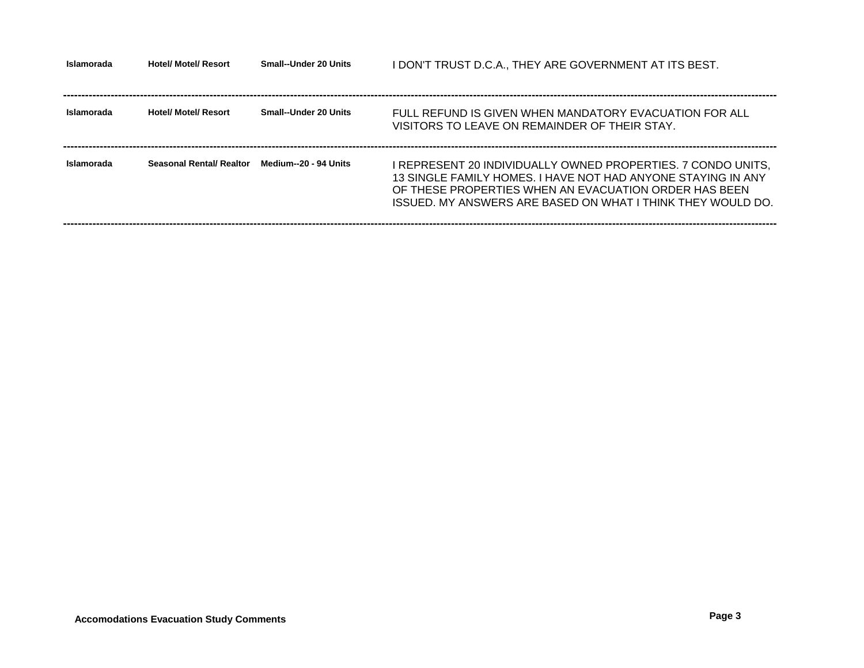| Islamorada | <b>Hotel/ Motel/ Resort</b> | <b>Small--Under 20 Units</b> | I DON'T TRUST D.C.A., THEY ARE GOVERNMENT AT ITS BEST.                                                                                                                                                                                               |
|------------|-----------------------------|------------------------------|------------------------------------------------------------------------------------------------------------------------------------------------------------------------------------------------------------------------------------------------------|
| Islamorada | <b>Hotel/ Motel/ Resort</b> | <b>Small--Under 20 Units</b> | FULL REFUND IS GIVEN WHEN MANDATORY EVACUATION FOR ALL<br>VISITORS TO LEAVE ON REMAINDER OF THEIR STAY.                                                                                                                                              |
| Islamorada | Seasonal Rental/ Realtor    | Medium--20 - 94 Units        | I REPRESENT 20 INDIVIDUALLY OWNED PROPERTIES. 7 CONDO UNITS.<br>13 SINGLE FAMILY HOMES. I HAVE NOT HAD ANYONE STAYING IN ANY<br>OF THESE PROPERTIES WHEN AN EVACUATION ORDER HAS BEEN<br>ISSUED. MY ANSWERS ARE BASED ON WHAT I THINK THEY WOULD DO. |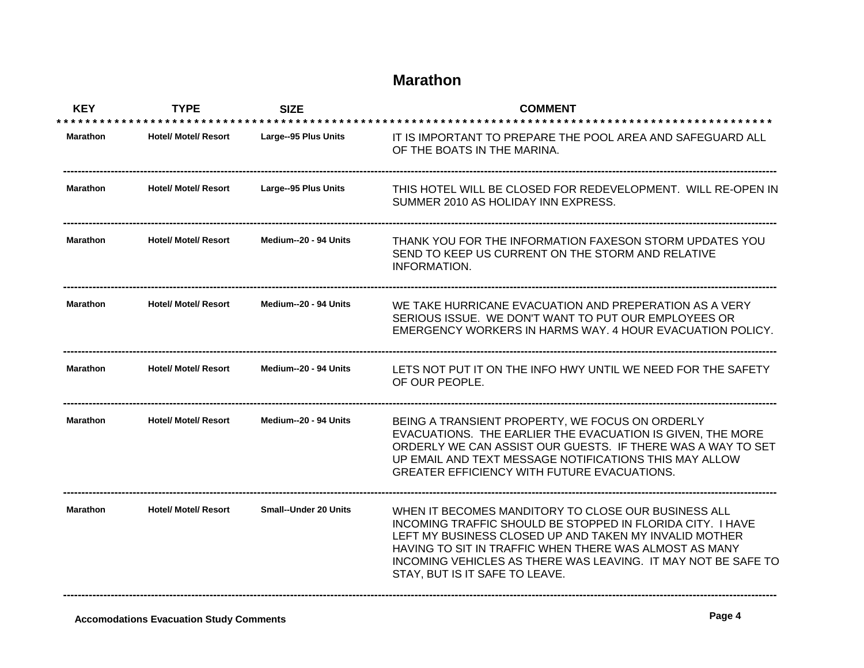## **Marathon**

| <b>KEY</b>      | <b>TYPE</b>                 | <b>SIZE</b>                  | <b>COMMENT</b>                                                                                                                                                                                                                                                                                                                           |
|-----------------|-----------------------------|------------------------------|------------------------------------------------------------------------------------------------------------------------------------------------------------------------------------------------------------------------------------------------------------------------------------------------------------------------------------------|
| <b>Marathon</b> | <b>Hotel/ Motel/ Resort</b> | Large--95 Plus Units         | IT IS IMPORTANT TO PREPARE THE POOL AREA AND SAFEGUARD ALL<br>OF THE BOATS IN THE MARINA.                                                                                                                                                                                                                                                |
| <b>Marathon</b> | <b>Hotel/ Motel/ Resort</b> | Large--95 Plus Units         | THIS HOTEL WILL BE CLOSED FOR REDEVELOPMENT. WILL RE-OPEN IN<br>SUMMER 2010 AS HOLIDAY INN EXPRESS.                                                                                                                                                                                                                                      |
| <b>Marathon</b> | <b>Hotel/ Motel/ Resort</b> | Medium--20 - 94 Units        | THANK YOU FOR THE INFORMATION FAXESON STORM UPDATES YOU<br>SEND TO KEEP US CURRENT ON THE STORM AND RELATIVE<br><b>INFORMATION.</b>                                                                                                                                                                                                      |
| <b>Marathon</b> | <b>Hotel/ Motel/ Resort</b> | Medium--20 - 94 Units        | WE TAKE HURRICANE EVACUATION AND PREPERATION AS A VERY<br>SERIOUS ISSUE. WE DON'T WANT TO PUT OUR EMPLOYEES OR<br>EMERGENCY WORKERS IN HARMS WAY. 4 HOUR EVACUATION POLICY.                                                                                                                                                              |
| Marathon        | <b>Hotel/ Motel/ Resort</b> | Medium--20 - 94 Units        | LETS NOT PUT IT ON THE INFO HWY UNTIL WE NEED FOR THE SAFETY<br>OF OUR PEOPLE.                                                                                                                                                                                                                                                           |
| <b>Marathon</b> | <b>Hotel/ Motel/ Resort</b> | Medium--20 - 94 Units        | BEING A TRANSIENT PROPERTY, WE FOCUS ON ORDERLY<br>EVACUATIONS. THE EARLIER THE EVACUATION IS GIVEN, THE MORE<br>ORDERLY WE CAN ASSIST OUR GUESTS. IF THERE WAS A WAY TO SET<br>UP EMAIL AND TEXT MESSAGE NOTIFICATIONS THIS MAY ALLOW<br><b>GREATER EFFICIENCY WITH FUTURE EVACUATIONS.</b>                                             |
| <b>Marathon</b> | <b>Hotel/ Motel/ Resort</b> | <b>Small--Under 20 Units</b> | WHEN IT BECOMES MANDITORY TO CLOSE OUR BUSINESS ALL<br>INCOMING TRAFFIC SHOULD BE STOPPED IN FLORIDA CITY. I HAVE<br>LEFT MY BUSINESS CLOSED UP AND TAKEN MY INVALID MOTHER<br>HAVING TO SIT IN TRAFFIC WHEN THERE WAS ALMOST AS MANY<br>INCOMING VEHICLES AS THERE WAS LEAVING. IT MAY NOT BE SAFE TO<br>STAY, BUT IS IT SAFE TO LEAVE. |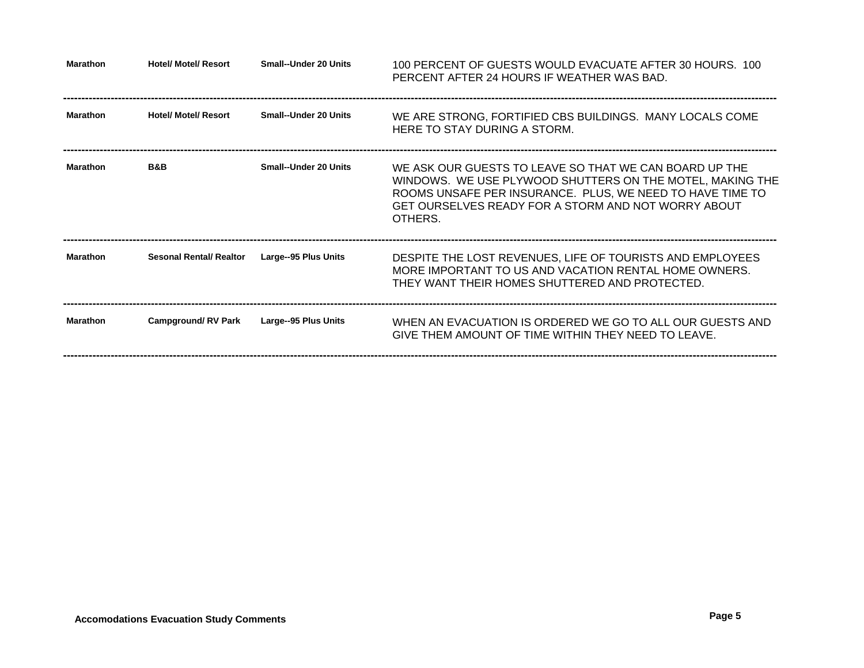| <b>Marathon</b> | <b>Hotel/ Motel/ Resort</b>    | Small--Under 20 Units        | 100 PERCENT OF GUESTS WOULD EVACUATE AFTER 30 HOURS. 100<br>PERCENT AFTER 24 HOURS IF WEATHER WAS BAD.                                                                                                                                             |
|-----------------|--------------------------------|------------------------------|----------------------------------------------------------------------------------------------------------------------------------------------------------------------------------------------------------------------------------------------------|
| <b>Marathon</b> | <b>Hotel/ Motel/ Resort</b>    | <b>Small--Under 20 Units</b> | WE ARE STRONG, FORTIFIED CBS BUILDINGS. MANY LOCALS COME<br>HERE TO STAY DURING A STORM.                                                                                                                                                           |
| <b>Marathon</b> | <b>B&amp;B</b>                 | <b>Small--Under 20 Units</b> | WE ASK OUR GUESTS TO LEAVE SO THAT WE CAN BOARD UP THE<br>WINDOWS. WE USE PLYWOOD SHUTTERS ON THE MOTEL, MAKING THE<br>ROOMS UNSAFE PER INSURANCE. PLUS, WE NEED TO HAVE TIME TO<br>GET OURSELVES READY FOR A STORM AND NOT WORRY ABOUT<br>OTHERS. |
| <b>Marathon</b> | <b>Sesonal Rental/ Realtor</b> | Large--95 Plus Units         | DESPITE THE LOST REVENUES, LIFE OF TOURISTS AND EMPLOYEES<br>MORE IMPORTANT TO US AND VACATION RENTAL HOME OWNERS.<br>THEY WANT THEIR HOMES SHUTTERED AND PROTECTED.                                                                               |
| <b>Marathon</b> | <b>Campground/RV Park</b>      | Large--95 Plus Units         | WHEN AN EVACUATION IS ORDERED WE GO TO ALL OUR GUESTS AND<br>GIVE THEM AMOUNT OF TIME WITHIN THEY NEED TO LEAVE.                                                                                                                                   |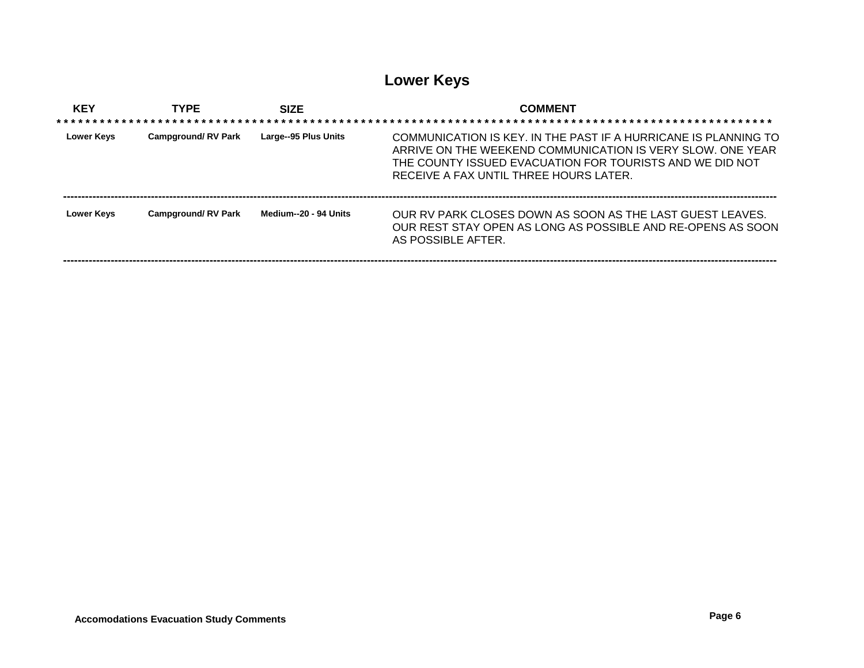# **Lower Keys**

| <b>KEY</b>        | <b>TYPE</b>               | <b>SIZE</b>           | <b>COMMENT</b>                                                                                                                                                                                                                      |
|-------------------|---------------------------|-----------------------|-------------------------------------------------------------------------------------------------------------------------------------------------------------------------------------------------------------------------------------|
| <b>Lower Kevs</b> | <b>Campground/RV Park</b> | Large--95 Plus Units  | COMMUNICATION IS KEY. IN THE PAST IF A HURRICANE IS PLANNING TO<br>ARRIVE ON THE WEEKEND COMMUNICATION IS VERY SLOW. ONE YEAR<br>THE COUNTY ISSUED EVACUATION FOR TOURISTS AND WE DID NOT<br>RECEIVE A FAX UNTIL THREE HOURS LATER. |
| <b>Lower Kevs</b> | <b>Campground/RV Park</b> | Medium--20 - 94 Units | OUR RV PARK CLOSES DOWN AS SOON AS THE LAST GUEST LEAVES.<br>OUR REST STAY OPEN AS LONG AS POSSIBLE AND RE-OPENS AS SOON<br>AS POSSIBLE AFTER                                                                                       |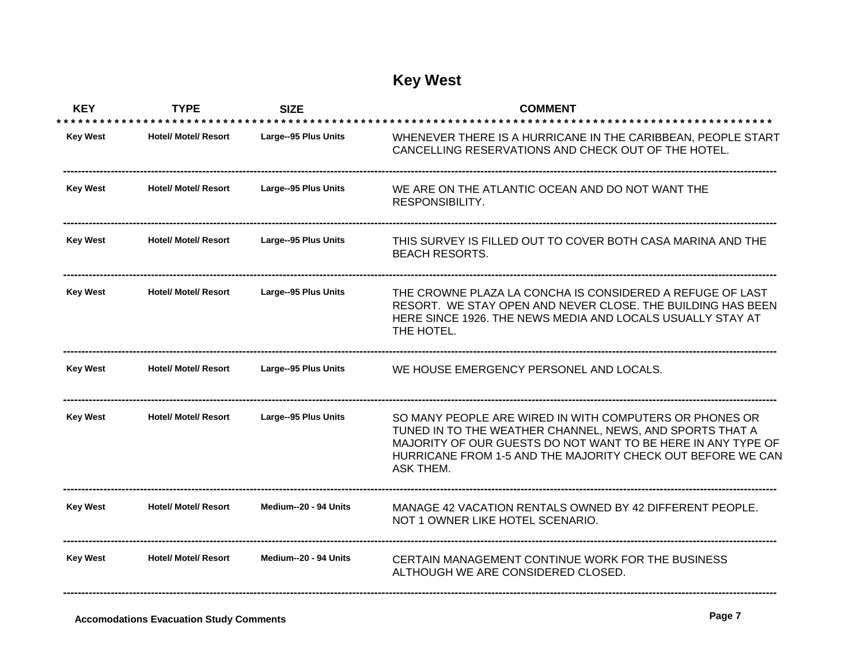## **Key West**

| <b>KEY</b>      | <b>TYPE</b>                 | <b>SIZE</b>           | <b>COMMENT</b>                                                                                                                                                                                                                                                  |
|-----------------|-----------------------------|-----------------------|-----------------------------------------------------------------------------------------------------------------------------------------------------------------------------------------------------------------------------------------------------------------|
| <b>Key West</b> | <b>Hotel/ Motel/ Resort</b> | Large--95 Plus Units  | WHENEVER THERE IS A HURRICANE IN THE CARIBBEAN, PEOPLE START<br>CANCELLING RESERVATIONS AND CHECK OUT OF THE HOTEL.                                                                                                                                             |
| <b>Key West</b> | <b>Hotel/ Motel/ Resort</b> | Large--95 Plus Units  | WE ARE ON THE ATLANTIC OCEAN AND DO NOT WANT THE<br>RESPONSIBILITY.                                                                                                                                                                                             |
| <b>Key West</b> | <b>Hotel/ Motel/ Resort</b> | Large--95 Plus Units  | THIS SURVEY IS FILLED OUT TO COVER BOTH CASA MARINA AND THE<br><b>BEACH RESORTS.</b>                                                                                                                                                                            |
| <b>Key West</b> | <b>Hotel/ Motel/ Resort</b> | Large--95 Plus Units  | THE CROWNE PLAZA LA CONCHA IS CONSIDERED A REFUGE OF LAST<br>RESORT. WE STAY OPEN AND NEVER CLOSE. THE BUILDING HAS BEEN<br>HERE SINCE 1926. THE NEWS MEDIA AND LOCALS USUALLY STAY AT<br>THE HOTEL.                                                            |
| <b>Key West</b> | <b>Hotel/ Motel/ Resort</b> | Large--95 Plus Units  | WE HOUSE EMERGENCY PERSONEL AND LOCALS.                                                                                                                                                                                                                         |
| <b>Key West</b> | <b>Hotel/ Motel/ Resort</b> | Large--95 Plus Units  | SO MANY PEOPLE ARE WIRED IN WITH COMPUTERS OR PHONES OR<br>TUNED IN TO THE WEATHER CHANNEL, NEWS, AND SPORTS THAT A<br>MAJORITY OF OUR GUESTS DO NOT WANT TO BE HERE IN ANY TYPE OF<br>HURRICANE FROM 1-5 AND THE MAJORITY CHECK OUT BEFORE WE CAN<br>ASK THEM. |
| <b>Key West</b> | <b>Hotel/ Motel/ Resort</b> | Medium--20 - 94 Units | MANAGE 42 VACATION RENTALS OWNED BY 42 DIFFERENT PEOPLE.<br>NOT 1 OWNER LIKE HOTEL SCENARIO.                                                                                                                                                                    |
| <b>Key West</b> | <b>Hotel/ Motel/ Resort</b> | Medium--20 - 94 Units | CERTAIN MANAGEMENT CONTINUE WORK FOR THE BUSINESS<br>ALTHOUGH WE ARE CONSIDERED CLOSED.                                                                                                                                                                         |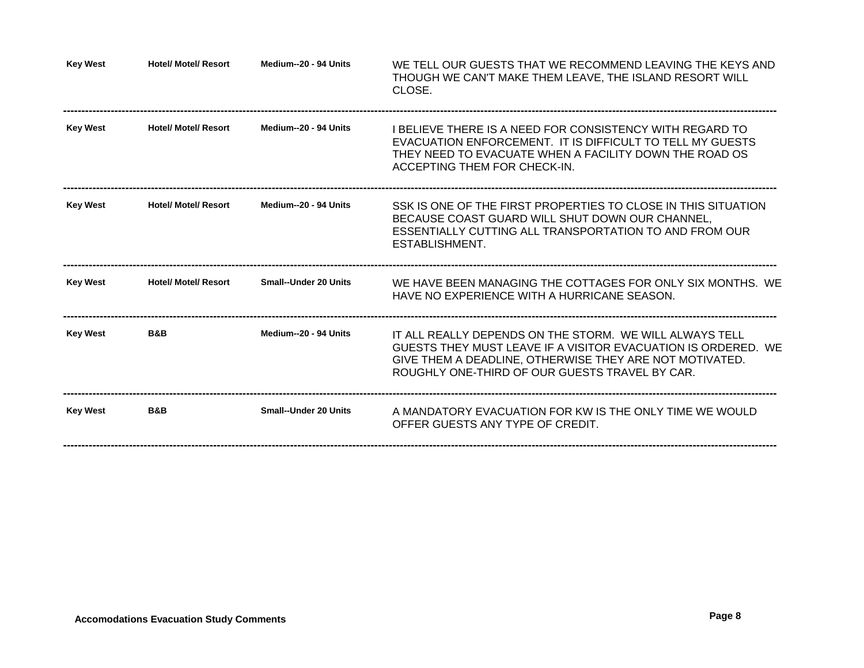| <b>Key West</b> | <b>Hotel/ Motel/ Resort</b> | Medium--20 - 94 Units        | WE TELL OUR GUESTS THAT WE RECOMMEND LEAVING THE KEYS AND<br>THOUGH WE CAN'T MAKE THEM LEAVE, THE ISLAND RESORT WILL<br>CLOSE.                                                                                                        |
|-----------------|-----------------------------|------------------------------|---------------------------------------------------------------------------------------------------------------------------------------------------------------------------------------------------------------------------------------|
| <b>Key West</b> | <b>Hotel/ Motel/ Resort</b> | Medium--20 - 94 Units        | I BELIEVE THERE IS A NEED FOR CONSISTENCY WITH REGARD TO<br>EVACUATION ENFORCEMENT. IT IS DIFFICULT TO TELL MY GUESTS<br>THEY NEED TO EVACUATE WHEN A FACILITY DOWN THE ROAD OS<br>ACCEPTING THEM FOR CHECK-IN.                       |
| <b>Key West</b> | <b>Hotel/ Motel/ Resort</b> | Medium--20 - 94 Units        | SSK IS ONE OF THE FIRST PROPERTIES TO CLOSE IN THIS SITUATION<br>BECAUSE COAST GUARD WILL SHUT DOWN OUR CHANNEL,<br>ESSENTIALLY CUTTING ALL TRANSPORTATION TO AND FROM OUR<br>ESTABLISHMENT.                                          |
| <b>Key West</b> | <b>Hotel/ Motel/ Resort</b> | <b>Small--Under 20 Units</b> | WE HAVE BEEN MANAGING THE COTTAGES FOR ONLY SIX MONTHS. WE<br>HAVE NO EXPERIENCE WITH A HURRICANE SEASON.                                                                                                                             |
| <b>Key West</b> | B&B                         | Medium--20 - 94 Units        | IT ALL REALLY DEPENDS ON THE STORM. WE WILL ALWAYS TELL<br>GUESTS THEY MUST LEAVE IF A VISITOR EVACUATION IS ORDERED. WE<br>GIVE THEM A DEADLINE, OTHERWISE THEY ARE NOT MOTIVATED.<br>ROUGHLY ONE-THIRD OF OUR GUESTS TRAVEL BY CAR. |
| <b>Key West</b> | <b>B&amp;B</b>              | <b>Small--Under 20 Units</b> | A MANDATORY EVACUATION FOR KW IS THE ONLY TIME WE WOULD<br>OFFER GUESTS ANY TYPE OF CREDIT.                                                                                                                                           |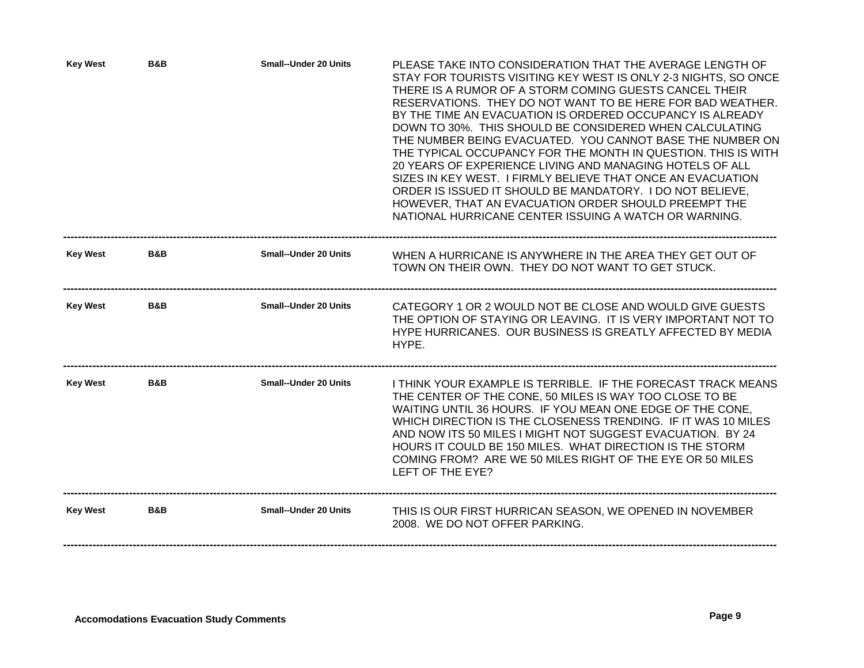| <b>Key West</b> | B&B | <b>Small--Under 20 Units</b> | PLEASE TAKE INTO CONSIDERATION THAT THE AVERAGE LENGTH OF<br>STAY FOR TOURISTS VISITING KEY WEST IS ONLY 2-3 NIGHTS, SO ONCE<br>THERE IS A RUMOR OF A STORM COMING GUESTS CANCEL THEIR<br>RESERVATIONS. THEY DO NOT WANT TO BE HERE FOR BAD WEATHER.<br>BY THE TIME AN EVACUATION IS ORDERED OCCUPANCY IS ALREADY<br>DOWN TO 30%. THIS SHOULD BE CONSIDERED WHEN CALCULATING<br>THE NUMBER BEING EVACUATED. YOU CANNOT BASE THE NUMBER ON<br>THE TYPICAL OCCUPANCY FOR THE MONTH IN QUESTION. THIS IS WITH<br>20 YEARS OF EXPERIENCE LIVING AND MANAGING HOTELS OF ALL<br>SIZES IN KEY WEST. I FIRMLY BELIEVE THAT ONCE AN EVACUATION<br>ORDER IS ISSUED IT SHOULD BE MANDATORY. I DO NOT BELIEVE,<br>HOWEVER, THAT AN EVACUATION ORDER SHOULD PREEMPT THE<br>NATIONAL HURRICANE CENTER ISSUING A WATCH OR WARNING. |
|-----------------|-----|------------------------------|---------------------------------------------------------------------------------------------------------------------------------------------------------------------------------------------------------------------------------------------------------------------------------------------------------------------------------------------------------------------------------------------------------------------------------------------------------------------------------------------------------------------------------------------------------------------------------------------------------------------------------------------------------------------------------------------------------------------------------------------------------------------------------------------------------------------|
| <b>Key West</b> | B&B | <b>Small--Under 20 Units</b> | WHEN A HURRICANE IS ANYWHERE IN THE AREA THEY GET OUT OF<br>TOWN ON THEIR OWN. THEY DO NOT WANT TO GET STUCK.                                                                                                                                                                                                                                                                                                                                                                                                                                                                                                                                                                                                                                                                                                       |
| <b>Key West</b> | B&B | <b>Small--Under 20 Units</b> | CATEGORY 1 OR 2 WOULD NOT BE CLOSE AND WOULD GIVE GUESTS<br>THE OPTION OF STAYING OR LEAVING. IT IS VERY IMPORTANT NOT TO<br>HYPE HURRICANES. OUR BUSINESS IS GREATLY AFFECTED BY MEDIA<br>HYPE.                                                                                                                                                                                                                                                                                                                                                                                                                                                                                                                                                                                                                    |
| <b>Key West</b> | B&B | <b>Small--Under 20 Units</b> | I THINK YOUR EXAMPLE IS TERRIBLE. IF THE FORECAST TRACK MEANS<br>THE CENTER OF THE CONE, 50 MILES IS WAY TOO CLOSE TO BE<br>WAITING UNTIL 36 HOURS. IF YOU MEAN ONE EDGE OF THE CONE.<br>WHICH DIRECTION IS THE CLOSENESS TRENDING. IF IT WAS 10 MILES<br>AND NOW ITS 50 MILES I MIGHT NOT SUGGEST EVACUATION. BY 24<br>HOURS IT COULD BE 150 MILES. WHAT DIRECTION IS THE STORM<br>COMING FROM? ARE WE 50 MILES RIGHT OF THE EYE OR 50 MILES<br>LEFT OF THE EYE?                                                                                                                                                                                                                                                                                                                                                   |
| <b>Key West</b> | B&B | <b>Small--Under 20 Units</b> | THIS IS OUR FIRST HURRICAN SEASON, WE OPENED IN NOVEMBER<br>2008. WE DO NOT OFFER PARKING.                                                                                                                                                                                                                                                                                                                                                                                                                                                                                                                                                                                                                                                                                                                          |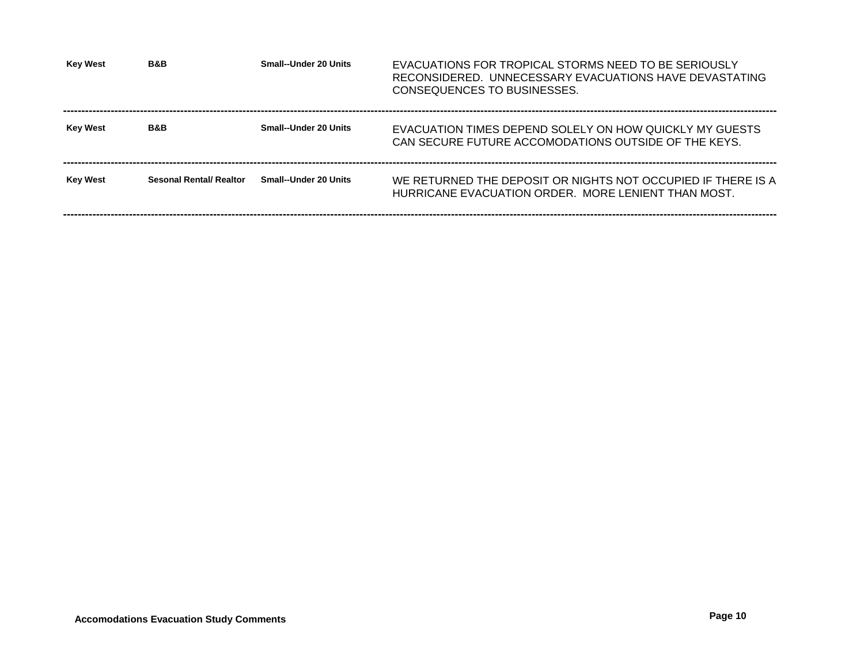| <b>Key West</b> | <b>B&amp;B</b>                 | Small--Under 20 Units        | EVACUATIONS FOR TROPICAL STORMS NEED TO BE SERIOUSLY<br>RECONSIDERED. UNNECESSARY EVACUATIONS HAVE DEVASTATING<br>CONSEQUENCES TO BUSINESSES. |
|-----------------|--------------------------------|------------------------------|-----------------------------------------------------------------------------------------------------------------------------------------------|
| <b>Key West</b> | B&B                            | Small--Under 20 Units        | EVACUATION TIMES DEPEND SOLELY ON HOW QUICKLY MY GUESTS<br>CAN SECURE FUTURE ACCOMODATIONS OUTSIDE OF THE KEYS.                               |
| <b>Key West</b> | <b>Sesonal Rental/ Realtor</b> | <b>Small--Under 20 Units</b> | WE RETURNED THE DEPOSIT OR NIGHTS NOT OCCUPIED IF THERE IS A<br>HURRICANE EVACUATION ORDER. MORE LENIENT THAN MOST.                           |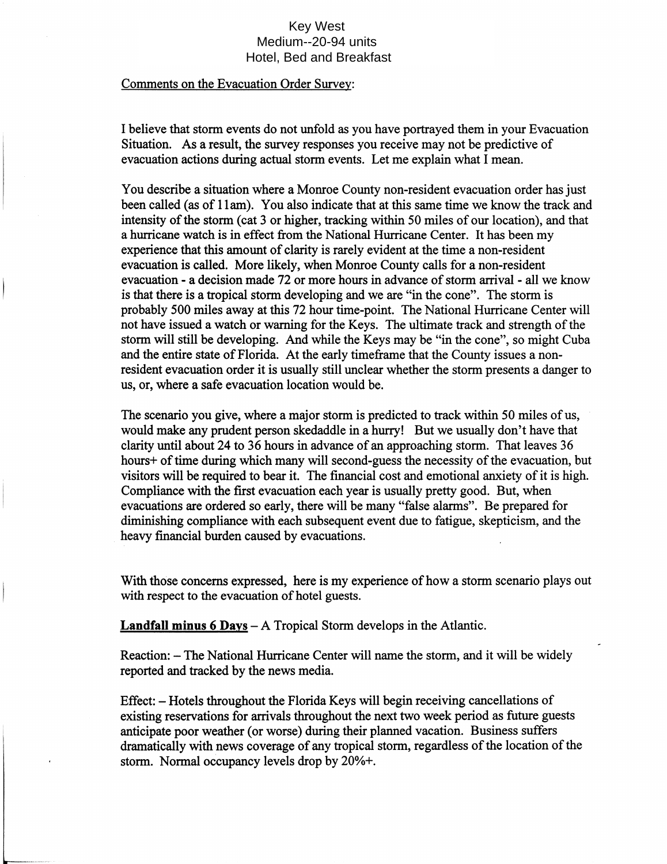## **Key West** Medium--20-94 units Hotel, Bed and Breakfast

#### Comments on the Evacuation Order Survey:

I believe that storm events do not unfold as you have portrayed them in your Evacuation Situation. As a result, the survey responses you receive may not be predictive of evacuation actions during actual storm events. Let me explain what I mean.

You describe a situation where a Monroe County non-resident evacuation order has just been called (as of 11am). You also indicate that at this same time we know the track and intensity of the storm (cat 3 or higher, tracking within 50 miles of our location), and that a hurricane watch is in effect from the National Hurricane Center. It has been my experience that this amount of clarity is rarely evident at the time a non-resident evacuation is called. More likely, when Monroe County calls for a non-resident evacuation - a decision made 72 or more hours in advance of storm arrival - all we know is that there is a tropical storm developing and we are "in the cone". The storm is probably 500 miles away at this 72 hour time-point. The National Hurricane Center will not have issued a watch or warning for the Keys. The ultimate track and strength of the storm will still be developing. And while the Keys may be "in the cone", so might Cuba and the entire state of Florida. At the early timeframe that the County issues a nonresident evacuation order it is usually still unclear whether the storm presents a danger to us, or, where a safe evacuation location would be.

The scenario you give, where a major storm is predicted to track within 50 miles of us, would make any prudent person skedaddle in a hurry! But we usually don't have that clarity until about 24 to 36 hours in advance of an approaching storm. That leaves 36 hours+ of time during which many will second-guess the necessity of the evacuation, but visitors will be required to bear it. The financial cost and emotional anxiety of it is high. Compliance with the first evacuation each year is usually pretty good. But, when evacuations are ordered so early, there will be many "false alarms". Be prepared for diminishing compliance with each subsequent event due to fatigue, skepticism, and the heavy financial burden caused by evacuations.

With those concerns expressed, here is my experience of how a storm scenario plays out with respect to the evacuation of hotel guests.

**Landfall minus 6 Days**  $-$  A Tropical Storm develops in the Atlantic.

Reaction: – The National Hurricane Center will name the storm, and it will be widely reported and tracked by the news media.

Effect: – Hotels throughout the Florida Keys will begin receiving cancellations of existing reservations for arrivals throughout the next two week period as future guests anticipate poor weather (or worse) during their planned vacation. Business suffers dramatically with news coverage of any tropical storm, regardless of the location of the storm. Normal occupancy levels drop by 20%+.